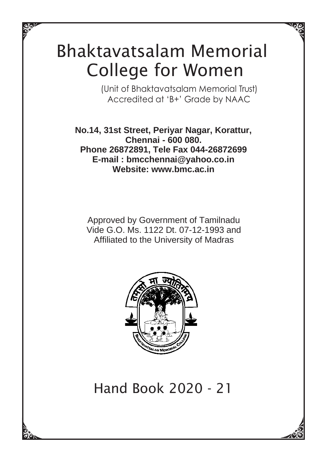# Bhaktavatsalam Memorial College for Women

(Unit of Bhaktavatsalam Memorial Trust) Accredited at 'B+' Grade by NAAC

**No.14, 31st Street, Periyar Nagar, Korattur, Chennai - 600 080. Phone 26872891, Tele Fax 044-26872699 [E-mail : bmcchennai@yahoo.co.in](mailto:bmcchennai@yahoo.co.in) Website: [www.bmc.ac.in](http://www.bmc.ac.in/)**

Approved by Government of Tamilnadu Vide G.O. Ms. 1122 Dt. 07-12-1993 and Affiliated to the University of Madras



Hand Book 2020 - 21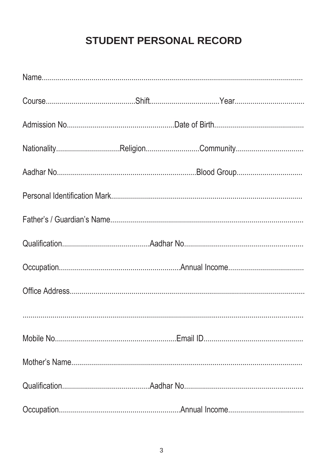### **STUDENT PERSONAL RECORD**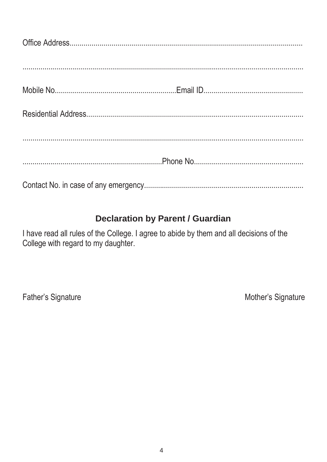### **Declaration by Parent / Guardian**

I have read all rules of the College. I agree to abide by them and all decisions of the College with regard to my daughter.

Father's Signature

Mother's Signature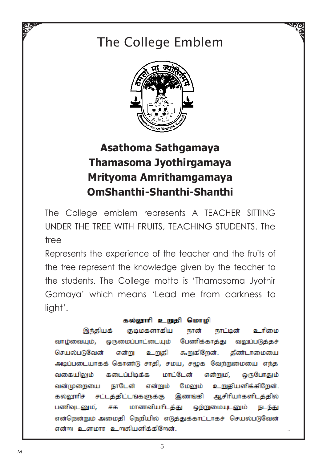# The College Emblem



### **Asathoma Sathgamaya Thamasoma Jyothirgamaya Mrityoma Amrithamgamaya OmShanthi-Shanthi-Shanthi**

The College emblem represents A TEACHER SITTING UNDER THE TREE WITH FRUITS, TEACHING STUDENTS. The tree

Represents the experience of the teacher and the fruits of the tree represent the knowledge given by the teacher to the students. The College motto is 'Thamasoma Jyothir Gamaya' which means 'Lead me from darkness to light'.

#### கல்லூரி உறுதி மொழி

இந்தியக் குடிமகளாகிய நாட்டின் உரிமை நான் வாழ்வையும், ஒருமைப்பாட்டையும் பேணிக்காத்து வலுப்படுக்கச் செயல்படுவேன் உறுதி கூறுகிறேன். தீண்டாமையை என்று அடிப்படையாகக் கொண்டு சாதி, சமய, சமூக வேற்றுமையை எந்த கடைப்பிடிக்க மாட்டேன் என்றும், ஒருபோதும் வகையிலும் வன்முறையை நாடேன் என்றும் மேலும் உறுதியளிக்கிறேன். சட்டத்திட்டங்களுக்கு இணங்கி ஆசிரியர்களிடத்தில் கல்லாாிச் பணிவுடனும், சக மாணவிபரிடத்து ஒற்றுமையுடனும் நடந்து என்றென்றும் அமைதி நெறியில் எடுத்துக்காட்டாகச் செயல்படுவேன் என்று உளமார உறுகியளிக்கிறேன்.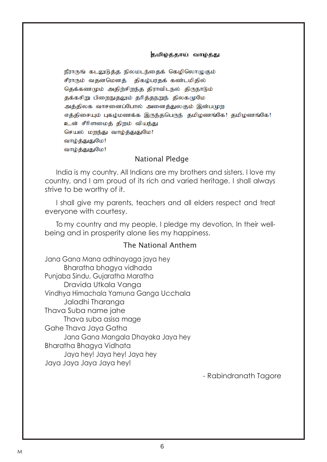#### தமிழ்த்தாய் வாழ்த்து

நீராருங் கடலுடுக்க நிலமடந்தைக் கெமிலொமுகும் சீராரும் வதனமெனத் திகம்பரதக் கண்டமிதில் கெக்கணமும் அகிற்சிறந்த திராவிடநல் திருநாடும் தக்கசிறு பிறைநுதலும் தரித்தநறுந் திலகமுமே அத்திலக வாசனைப்போல் அனைத்துலகும் இன்பமுற எக்கிசையும் புகழ்மணக்க இருந்தபெருந் தமிழணங்கே! தமிழணங்கே! உன் சீரிளமைத் திறம் வியந்து செயல் மறந்து வாழ்த்துதுமே! வாழ்த்துதுமே! வாழ்த்துதுமே!

#### National Pledge

India is my country. All Indians are my brothers and sisters. I love my country, and I am proud of its rich and varied heritage. I shall always strive to be worthy of it.

I shall give my parents, teachers and all elders respect and treat everyone with courtesy.

To my country and my people, I pledge my devotion, In their wellbeing and in prosperity alone lies my happiness.

#### The National Anthem

Jana Gana Mana adhinayaga jaya hey Bharatha bhagya vidhada Punjaba Sindu, Gujaratha Maratha Dravida Utkala Vanga Vindhya Himachala Yamuna Ganga Ucchala Jaladhi Tharanga Thava Suba name jahe Thava suba asisa mage Gahe Thava Jaya Gatha Jana Gana Mangala Dhayaka Jaya hey Bharatha Bhagya Vidhata Jaya hey! Jaya hey! Jaya hey Jaya Jaya Jaya Jaya hey!

- Rabindranath Tagore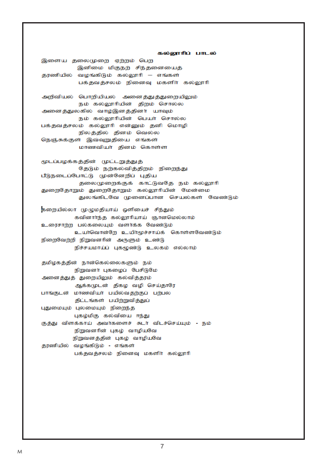கல்லூரிப் பாடல் இளைய தலைமுறை ஏற்றம் பெற இனிமை மிகுநற் சிந்தனையைத் தரணியில் வழங்கிடும் கல்லூரி – எங்கள் பக்கவக்சலம் நினைவு மகளிர் கல்லூரி அறிவியல் பொறியியல் அனைத்துத்துறையிலும்

நம் கல்லூரியின் திறம் சொல்ல அனைத்துலகில் வாழ்இனத்தினர் யாவும் நம் கல்லூரியின் பெயர் சொல்ல பக்தவத்சலம் கல்லூரி என்னும் தனி மொழி நிலத்தில் தினம் வெல்ல நெஞ்சுக்குள் இவ்வுறுதியை எங்கள் மாணவியா் தினம் கொள்ள

மூடப்பழக்கத்தின் முட்டறுத்துத் தேடும் நற்கல்வித்திறம் நிறைந்து பீடுநடைப்போட்டு முன்னேறிப் புதிய தலைமுறைக்குக் காட்டுவதே நம் கல்லூரி துறைதோறும் துறைதோறும் கல்லூரியின் மேன்மை துலங்கிடவே முனைப்பான செயல்கள் வேண்டும்

கறையில்லா முழுமதியாய் ஒளியைச் சிந்தும் கவினார்ந்த கல்லூரியாய் ஞானமெல்லாம் உரைசாற்ற பல்கலையும் வளர்க்க வேண்டும் உயர்வொன்றே உயிர்மூச்சாய்க் கொள்ளவேண்டும் நிறைவேற்றி நிறுவனரின் அருளும் உண்டு நிச்சயமாய்ப் புகழுண்டு உலகம் எல்லாம்

தமிழகத்தின் நான்கெல்லைகளும் நம் நிறுவனர் புகழைப் பேசிடுமே அனைத்துத் துறையிலும் கல்வித்தரம் ஆக்கமுடன் திகழ வழி செய்தாரே பாங்குடன் மாணவியா் பயில்வதற்குப் பற்பல திட்டங்கள் பயிற்றுவித்துப் புதுமையும் புலமையும் நிறைந்த புகழ்மிகு கல்வியை ஈந்து குத்து விளக்காய் அவர்களைச் சுடர் விடச்செய்யும் - நம் நிறுவனரின் புகழ் வாழியவே நிறுவனத்தின் புகழ் வாழியவே தரணியில் வழங்கிடும் - எங்கள் பக்தவத்சலம் நினைவு மகளிர் கல்லூரி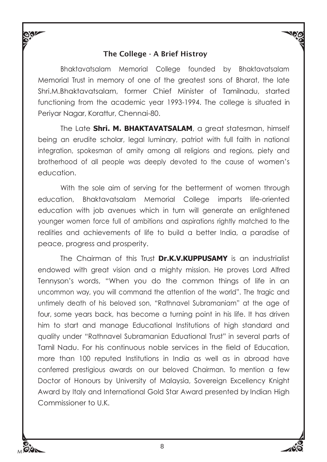#### The College - A Brief Histroy

Bhaktavatsalam Memorial College founded by Bhaktavatsalam Memorial Trust in memory of one of the greatest sons of Bharat, the late Shri.M.Bhaktavatsalam, former Chief Minister of Tamilnadu, started functioning from the academic year 1993-1994. The college is situated in Periyar Nagar, Korattur, Chennai-80.

The Late **Shri. M. BHAKTAVATSALAM**, a great statesman, himself being an erudite scholar, legal luminary, patriot with full faith in national integration, spokesman of amity among all religions and regions, piety and brotherhood of all people was deeply devoted to the cause of women's education.

With the sole aim of serving for the betterment of women through education, Bhaktavatsalam Memorial College imparts life-oriented education with job avenues which in turn will generate an enlightened younger women force full of ambitions and aspirations rightly matched to the realities and achievements of life to build a better India, a paradise of peace, progress and prosperity.

The Chairman of this Trust **Dr.K.V.KUPPUSAMY** is an industrialist endowed with great vision and a mighty mission. He proves Lord Alfred Tennyson's words, "When you do the common things of life in an uncommon way, you will command the attention of the world". The tragic and untimely death of his beloved son, "Rathnavel Subramaniam" at the age of four, some years back, has become a turning point in his life. It has driven him to start and manage Educational Institutions of high standard and quality under "Rathnavel Subramanian Eduational Trust" in several parts of Tamil Nadu. For his continuous noble services in the field of Education, more than 100 reputed Institutions in India as well as in abroad have conferred prestigious awards on our beloved Chairman. To mention a few Doctor of Honours by University of Malaysia, Sovereign Excellency Knight Award by Italy and International Gold Star Award presented by Indian High Commissioner to U.K.

M

**RAL**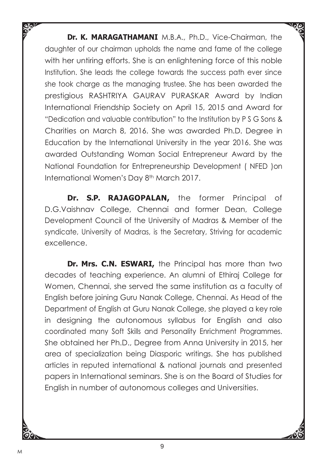**Dr. K. MARAGATHAMANI** M.B.A., Ph.D., Vice-Chairman, the daughter of our chairman upholds the name and fame of the college with her untiring efforts. She is an enlightening force of this noble Institution. She leads the college towards the success path ever since she took charge as the managing trustee. She has been awarded the prestigious RASHTRIYA GAURAV PURASKAR Award by Indian International Friendship Society on April 15, 2015 and Award for "Dedication and valuable contribution" to the Institution by P S G Sons & Charities on March 8, 2016. She was awarded Ph.D. Degree in Education by the International University in the year 2016. She was awarded Outstanding Woman Social Entrepreneur Award by the National Foundation for Entrepreneurship Development ( NFED )on International Women's Day 8<sup>th</sup> March 2017.

**Dr. S.P. RAJAGOPALAN,** the former Principal of D.G.Vaishnav College, Chennai and former Dean, College Development Council of the University of Madras & Member of the syndicate, University of Madras, is the Secretary, Striving for academic excellence.

**Dr. Mrs. C.N. ESWARI,** the Principal has more than two decades of teaching experience. An alumni of Ethiraj College for Women, Chennai, she served the same institution as a faculty of English before joining Guru Nanak College, Chennai. As Head of the Department of English at Guru Nanak College, she played a key role in designing the autonomous syllabus for English and also coordinated many Soft Skills and Personality Enrichment Programmes. She obtained her Ph.D., Degree from Anna University in 2015, her area of specialization being Diasporic writings. She has published articles in reputed international & national journals and presented papers in International seminars. She is on the Board of Studies for English in number of autonomous colleges and Universities.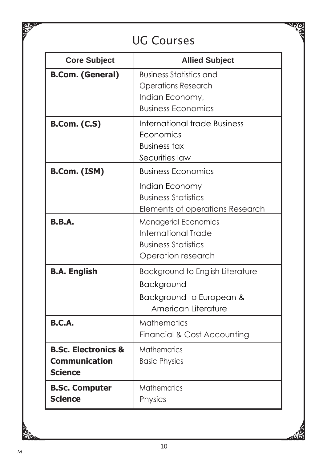### UG Courses

 $\sqrt{\phi_{\rm N}}$ 

| <b>Core Subject</b>                                                      | <b>Allied Subject</b>                                                                                         |
|--------------------------------------------------------------------------|---------------------------------------------------------------------------------------------------------------|
| <b>B.Com. (General)</b>                                                  | <b>Business Statistics and</b><br><b>Operations Research</b><br>Indian Economy,<br><b>Business Economics</b>  |
| <b>B.Com. (C.S)</b>                                                      | <b>International trade Business</b><br>Economics<br><b>Business tax</b><br>Securities law                     |
| B.Com. (ISM)                                                             | <b>Business Economics</b><br>Indian Economy<br><b>Business Statistics</b><br>Elements of operations Research  |
| <b>B.B.A.</b>                                                            | <b>Managerial Economics</b><br><b>International Trade</b><br><b>Business Statistics</b><br>Operation research |
| <b>B.A. English</b>                                                      | <b>Background to English Literature</b><br>Background<br>Background to European &<br>American Literature      |
| B.C.A.                                                                   | <b>Mathematics</b><br>Financial & Cost Accounting                                                             |
| <b>B.Sc. Electronics &amp;</b><br><b>Communication</b><br><b>Science</b> | <b>Mathematics</b><br><b>Basic Physics</b>                                                                    |
| <b>B.Sc. Computer</b><br><b>Science</b>                                  | <b>Mathematics</b><br>Physics                                                                                 |

ট

 $\frac{1}{2}$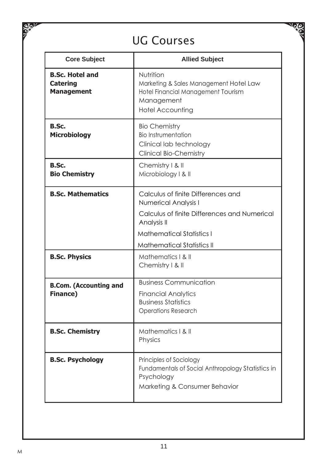# UG Courses

Vole

| <b>Core Subject</b>                                            | <b>Allied Subject</b>                                                                                                                                                                       |
|----------------------------------------------------------------|---------------------------------------------------------------------------------------------------------------------------------------------------------------------------------------------|
| <b>B.Sc. Hotel and</b><br><b>Catering</b><br><b>Management</b> | Nutrition<br>Marketing & Sales Management Hotel Law<br>Hotel Financial Management Tourism<br>Management<br><b>Hotel Accounting</b>                                                          |
| B.Sc.<br><b>Microbiology</b>                                   | <b>Bio Chemistry</b><br><b>Bio Instrumentation</b><br>Clinical lab technoloav<br><b>Clinical Bio-Chemistry</b>                                                                              |
| B.Sc.<br><b>Bio Chemistry</b>                                  | Chemistry   & II<br>Microbiology   &                                                                                                                                                        |
| <b>B.Sc. Mathematics</b>                                       | Calculus of finite Differences and<br>Numerical Analysis I<br>Calculus of finite Differences and Numerical<br>Analysis II<br>Mathematical Statistics L<br><b>Mathematical Statistics II</b> |
| <b>B.Sc. Physics</b>                                           | Mathematics   &   <br>Chemistry   & II                                                                                                                                                      |
| <b>B.Com.</b> (Accounting and<br>Finance)                      | <b>Business Communication</b><br><b>Financial Analytics</b><br><b>Business Statistics</b><br><b>Operations Research</b>                                                                     |
| <b>B.Sc. Chemistry</b>                                         | Mathematics   & II<br>Physics                                                                                                                                                               |
| <b>B.Sc. Psychology</b>                                        | Principles of Sociology<br>Fundamentals of Social Anthropology Statistics in<br>Psychology<br>Marketing & Consumer Behavior                                                                 |

 $\frac{d}{dx}$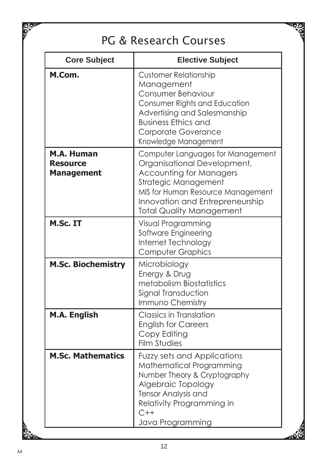## PG & Research Courses

 $\sqrt{\phi_{\rm N}}$ 

| <b>Core Subject</b>                                | <b>Elective Subject</b>                                                                                                                                                                                                               |
|----------------------------------------------------|---------------------------------------------------------------------------------------------------------------------------------------------------------------------------------------------------------------------------------------|
| M.Com.                                             | <b>Customer Relationship</b><br>Management<br><b>Consumer Behaviour</b><br>Consumer Rights and Education<br>Advertising and Salesmanship<br><b>Business Ethics and</b><br>Corporate Goverance<br>Knowledge Management                 |
| M.A. Human<br><b>Resource</b><br><b>Management</b> | Computer Languages for Management<br>Organisational Development,<br><b>Accounting for Managers</b><br>Strategic Management<br>MIS for Human Resource Management<br>Innovation and Entrepreneurship<br><b>Total Quality Management</b> |
| M.Sc. IT                                           | Visual Programming<br>Software Engineering<br>Internet Technology<br><b>Computer Graphics</b>                                                                                                                                         |
| <b>M.Sc. Biochemistry</b>                          | Microbiology<br>Energy & Drug<br>metabolism Biostatistics<br>Signal Transduction<br>Immuno Chemistry                                                                                                                                  |
| M.A. English                                       | Classics in Translation<br><b>English for Careers</b><br>Copy Editing<br><b>Film Studies</b>                                                                                                                                          |
| <b>M.Sc. Mathematics</b>                           | Fuzzy sets and Applications<br>Mathematical Programming<br>Number Theory & Cryptography<br>Algebraic Topology<br>Tensor Analysis and<br>Relativity Programming in<br>$C++$<br>Java Programming                                        |

₹

 $\frac{Q}{C}$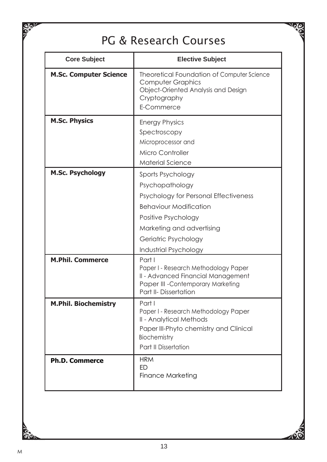### PG & Research Courses

 $\sqrt{\phi_{\rm N}}$ 

| <b>Core Subject</b>           | <b>Elective Subject</b>                                                                                                                                                                                             |
|-------------------------------|---------------------------------------------------------------------------------------------------------------------------------------------------------------------------------------------------------------------|
| <b>M.Sc. Computer Science</b> | Theoretical Foundation of Computer Science<br><b>Computer Graphics</b><br>Object-Oriented Analysis and Design<br>Cryptography<br>E-Commerce                                                                         |
| <b>M.Sc. Physics</b>          | <b>Energy Physics</b><br>Spectroscopy<br>Microprocessor and<br>Micro Controller<br>Material Science                                                                                                                 |
| <b>M.Sc. Psychology</b>       | Sports Psychology<br>Psychopathology<br>Psychology for Personal Effectiveness<br><b>Behaviour Modification</b><br>Positive Psychology<br>Marketing and advertising<br>Geriatric Psychology<br>Industrial Psychology |
| <b>M.Phil. Commerce</b>       | Part I<br>Paper I - Research Methodology Paper<br>II - Advanced Financial Management<br>Paper III - Contemporary Marketing<br>Part II- Dissertation                                                                 |
| <b>M.Phil. Biochemistry</b>   | Part I<br>Paper I - Research Methodology Paper<br>II - Analytical Methods<br>Paper III-Phyto chemistry and Clinical<br>Biochemistry<br>Part II Dissertation                                                         |
| <b>Ph.D. Commerce</b>         | <b>HRM</b><br>FD.<br><b>Finance Marketing</b>                                                                                                                                                                       |

Ià

 $\frac{1}{2}$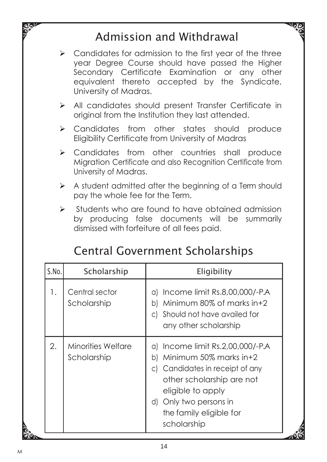### Admission and Withdrawal

- ➢ Candidates for admission to the first year of the three year Degree Course should have passed the Higher Secondary Certificate Examination or any other equivalent thereto accepted by the Syndicate, University of Madras.
- ➢ All candidates should present Transfer Certificate in original from the Institution they last attended.
- ➢ Candidates from other states should produce Eligibility Certificate from University of Madras
- ➢ Candidates from other countries shall produce Migration Certificate and also Recognition Certificate from University of Madras.
- $\triangleright$  A student admitted after the beginning of a Term should pay the whole fee for the Term.
- ➢ Students who are found to have obtained admission by producing false documents will be summarily dismissed with forfeiture of all fees paid.

|  | <b>Central Government Scholarships</b> |  |  |
|--|----------------------------------------|--|--|
|--|----------------------------------------|--|--|

| S.No. | Scholarship                       | Eligibility                                                                                                                                                                                                               |
|-------|-----------------------------------|---------------------------------------------------------------------------------------------------------------------------------------------------------------------------------------------------------------------------|
| 1.    | Central sector<br>Scholarship     | Income limit Rs.8,00,000/-P.A<br>a)<br>Minimum $80\%$ of marks in +2<br>b١<br>c) Should not have availed for<br>any other scholarship                                                                                     |
| 2.    | Minorities Welfare<br>Scholarship | a) Income limit Rs.2,00,000/-P.A<br>Minimum 50% marks in+2<br>bI<br>c) Candidates in receipt of any<br>other scholarship are not<br>eligible to apply<br>d) Only two persons in<br>the family eligible for<br>scholarship |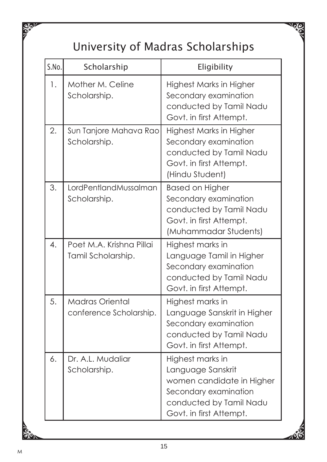# University of Madras Scholarships

 $\mathbb{Z}_p$ 

| S.No. | Scholarship                                       | Eligibility                                                                                                                                       |
|-------|---------------------------------------------------|---------------------------------------------------------------------------------------------------------------------------------------------------|
| 1.    | Mother M. Celine<br>Scholarship.                  | Highest Marks in Higher<br>Secondary examination<br>conducted by Tamil Nadu<br>Govt. in first Attempt.                                            |
| 2.    | Sun Tanjore Mahava Rao<br>Scholarship.            | Highest Marks in Higher<br>Secondary examination<br>conducted by Tamil Nadu<br>Govt. in first Attempt.<br>(Hindu Student)                         |
| 3.    | LordPentlandMussalman<br>Scholarship.             | <b>Based on Higher</b><br>Secondary examination<br>conducted by Tamil Nadu<br>Govt. in first Attempt.<br>(Muhammadar Students)                    |
| 4.    | Poet M.A. Krishna Pillai<br>Tamil Scholarship.    | Highest marks in<br>Language Tamil in Higher<br>Secondary examination<br>conducted by Tamil Nadu<br>Govt. in first Attempt.                       |
| 5.    | <b>Madras Oriental</b><br>conference Scholarship. | Highest marks in<br>Language Sanskrit in Higher<br>Secondary examination<br>conducted by Tamil Nadu<br>Govt. in first Attempt.                    |
| 6.    | Dr. A.L. Mudaliar<br>Scholarship.                 | Highest marks in<br>Language Sanskrit<br>women candidate in Higher<br>Secondary examination<br>conducted by Tamil Nadu<br>Govt. in first Attempt. |

 $\frac{1}{6}$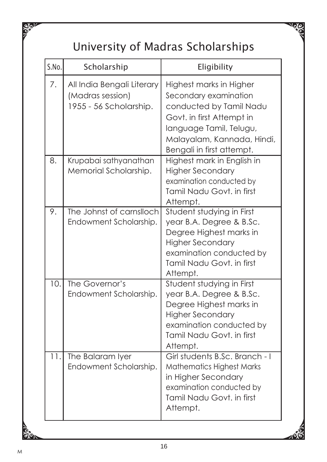# University of Madras Scholarships

 $\mathbb{Z}_p$ 

| S.No. | Scholarship                                                              | Eligibility                                                                                                                                                                                    |
|-------|--------------------------------------------------------------------------|------------------------------------------------------------------------------------------------------------------------------------------------------------------------------------------------|
| 7.    | All India Bengali Literary<br>(Madras session)<br>1955 - 56 Scholarship. | Highest marks in Higher<br>Secondary examination<br>conducted by Tamil Nadu<br>Govt. in first Attempt in<br>language Tamil, Telugu,<br>Malayalam, Kannada, Hindi,<br>Bengali in first attempt. |
| 8.    | Krupabai sathyanathan<br>Memorial Scholarship.                           | Highest mark in English in<br><b>Higher Secondary</b><br>examination conducted by<br>Tamil Nadu Govt. in first<br>Attempt.                                                                     |
| 9.    | The Johnst of carnslloch<br>Endowment Scholarship.                       | Student studying in First<br>year B.A. Degree & B.Sc.<br>Degree Highest marks in<br><b>Higher Secondary</b><br>examination conducted by<br>Tamil Nadu Govt. in first<br>Attempt.               |
| 10.   | The Governor's<br>Endowment Scholarship.                                 | Student studying in First<br>year B.A. Degree & B.Sc.<br>Degree Highest marks in<br><b>Higher Secondary</b><br>examination conducted by<br>Tamil Nadu Govt. in first<br>Attempt.               |
| 11.   | The Balaram Iyer<br>Endowment Scholarship.                               | Girl students B.Sc. Branch - I<br><b>Mathematics Highest Marks</b><br>in Higher Secondary<br>examination conducted by<br>Tamil Nadu Govt. in first<br>Attempt.                                 |

 $\frac{1}{2}$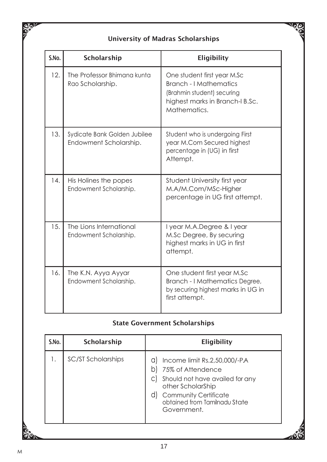#### University of Madras Scholarships

**Nole** 

| S.No. | Scholarship                                            | Eligibility                                                                                                                            |
|-------|--------------------------------------------------------|----------------------------------------------------------------------------------------------------------------------------------------|
| 12.   | The Professor Bhimana kunta<br>Rao Scholarship.        | One student first year M.Sc<br>Branch - I Mathematics<br>(Brahmin student) securing<br>highest marks in Branch-I B.Sc.<br>Mathematics. |
| 13.   | Sydicate Bank Golden Jubilee<br>Endowment Scholarship. | Student who is undergoing First<br>year M.Com Secured highest<br>percentage in (UG) in first<br>Attempt.                               |
| 14.   | His Holines the popes<br>Endowment Scholarship.        | Student University first year<br>M.A/M.Com/MSc-Higher<br>percentage in UG first attempt.                                               |
| 15.   | The Lions International<br>Endowment Scholarship.      | I year M.A.Degree & I year<br>M.Sc Degree, By securing<br>highest marks in UG in first<br>attempt.                                     |
| 16.   | The K.N. Ayya Ayyar<br>Endowment Scholarship.          | One student first year M.Sc<br>Branch - I Mathematics Degree,<br>by securing highest marks in UG in<br>first attempt.                  |

#### State Government Scholarships

| Scholarship<br>Eligibility<br>S.No.                                                                                                                                                                                        |
|----------------------------------------------------------------------------------------------------------------------------------------------------------------------------------------------------------------------------|
| SC/ST Scholarships<br>Income limit Rs.2,50,000/-PA<br>Ι.<br>a<br>75% of Attendence<br>Should not have availed for any<br>other ScholarShip<br><b>Community Certificate</b><br>obtained from Tamilnadu State<br>Government. |

So.

**SOLU**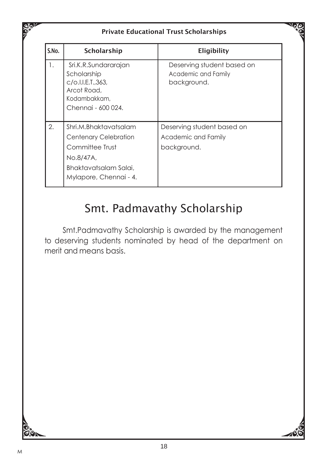|       |                                                                                                                                          | <b>Private Educational Trust Scholarships</b>                    |
|-------|------------------------------------------------------------------------------------------------------------------------------------------|------------------------------------------------------------------|
| S.No. | Scholarship                                                                                                                              | Eligibility                                                      |
| 1.    | Sri.K.R.Sundararajan<br>Scholarship<br>c/o.l.l.E.T.,363,<br>Arcot Road.<br>Kodambakkam,<br>Chennai - 600 024.                            | Deserving student based on<br>Academic and Family<br>background. |
| 2.    | Shri.M.Bhaktavatsalam<br><b>Centenary Celebration</b><br>Committee Trust<br>No.8/47A,<br>Bhaktavatsalam Salai,<br>Mylapore, Chennai - 4. | Deserving student based on<br>Academic and Family<br>background. |

### Smt. Padmavathy Scholarship

Smt.Padmavathy Scholarship is awarded by the management to deserving students nominated by head of the department on merit and means basis.



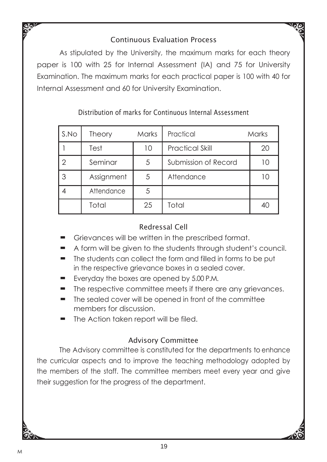### Continuous Evaluation Process

As stipulated by the University, the maximum marks for each theory paper is 100 with 25 for Internal Assessment (IA) and 75 for University Examination. The maximum marks for each practical paper is 100 with 40 for Internal Assessment and 60 for University Examination.

| S.No           | Theory     | <b>Marks</b> | Practical              | Marks |
|----------------|------------|--------------|------------------------|-------|
|                | Test       | 10           | <b>Practical Skill</b> | 20    |
| $\overline{2}$ | Seminar    | 5            | Submission of Record   | 10    |
| 3              | Assignment | 5            | Attendance             | 10    |
|                | Attendance | 5            |                        |       |
|                | Total      | 25           | Total                  | 40    |

### Distribution of marks for Continuous Internal Assessment

### Redressal Cell

- Grievances will be written in the prescribed format.
- A form will be given to the students through student's council.
- $\blacksquare$  The students can collect the form and filled in forms to be put in the respective grievance boxes in a sealed cover.
- Everyday the boxes are opened by 5.00 P.M.
- The respective committee meets if there are any grievances.
- The sealed cover will be opened in front of the committee members for discussion.
- The Action taken report will be filed.

#### Advisory Committee

The Advisory committee is constituted for the departments to enhance the curricular aspects and to improve the teaching methodology adopted by the members of the staff. The committee members meet every year and give their suggestion for the progress of the department.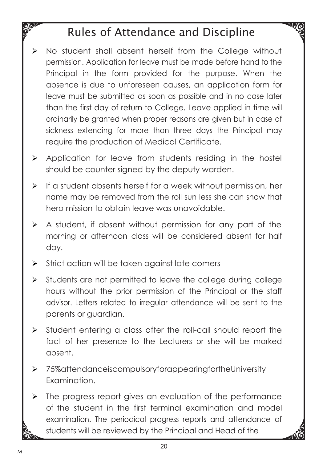### Rules of Attendance and Discipline

- ➢ No student shall absent herself from the College without permission. Application for leave must be made before hand to the Principal in the form provided for the purpose. When the absence is due to unforeseen causes, an application form for leave must be submitted as soon as possible and in no case later than the first day of return to College. Leave applied in time will ordinarily be granted when proper reasons are given but in case of sickness extending for more than three days the Principal may require the production of Medical Certificate.
- ➢ Application for leave from students residing in the hostel should be counter signed by the deputy warden.
- ➢ If a student absents herself for a week without permission, her name may be removed from the roll sun less she can show that hero mission to obtain leave was unavoidable.
- ➢ A student, if absent without permission for any part of the morning or afternoon class will be considered absent for half day.
- ➢ Strict action will be taken against late comers
- ➢ Students are not permitted to leave the college during college hours without the prior permission of the Principal or the staff advisor. Letters related to irregular attendance will be sent to the parents or guardian.
- ➢ Student entering a class after the roll-call should report the fact of her presence to the Lecturers or she will be marked absent.
- ➢ 75%attendanceiscompulsoryforappearingfortheUniversity Examination.
- ➢ The progress report gives an evaluation of the performance of the student in the first terminal examination and model examination. The periodical progress reports and attendance of students will be reviewed by the Principal and Head of the

 $\frac{1}{2}$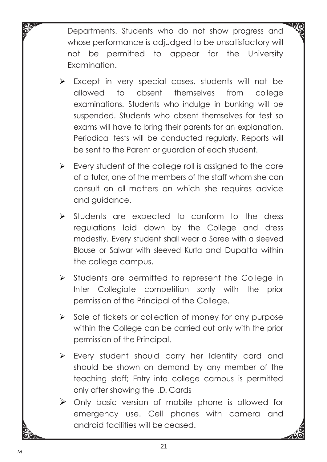Departments. Students who do not show progress and whose performance is adjudged to be unsatisfactory will not be permitted to appear for the University Examination.

- ➢ Except in very special cases, students will not be allowed to absent themselves from college examinations. Students who indulge in bunking will be suspended. Students who absent themselves for test so exams will have to bring their parents for an explanation. Periodical tests will be conducted regularly. Reports will be sent to the Parent or guardian of each student.
- ➢ Every student of the college roll is assigned to the care of a tutor, one of the members of the staff whom she can consult on all matters on which she requires advice and guidance.
- ➢ Students are expected to conform to the dress regulations laid down by the College and dress modestly. Every student shall wear a Saree with a sleeved Blouse or Salwar with sleeved Kurta and Dupatta within the college campus.
- ➢ Students are permitted to represent the College in Inter Collegiate competition sonly with the prior permission of the Principal of the College.
- ➢ Sale of tickets or collection of money for any purpose within the College can be carried out only with the prior permission of the Principal.
- ➢ Every student should carry her Identity card and should be shown on demand by any member of the teaching staff; Entry into college campus is permitted only after showing the I.D. Cards
- ➢ Only basic version of mobile phone is allowed for emergency use. Cell phones with camera and android facilities will be ceased.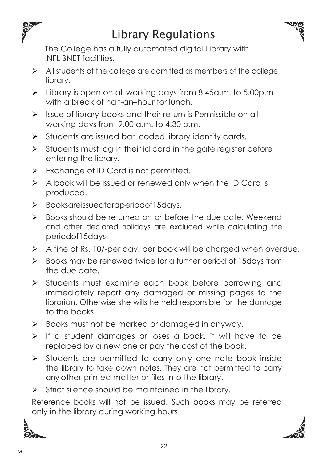

### Library Regulations



The College has a fully automated digital Library with INFLIBNET facilities.

- ➢ All students of the college are admitted as members of the college library.
- ➢ Library is open on all working days from 8.45a.m. to 5.00p.m with a break of half-an–hour for lunch.
- ➢ Issue of library books and their return is Permissible on all working days from 9.00 a.m. to 4.30 p.m.
- ➢ Students are issued bar–coded library identity cards.
- $\triangleright$  Students must log in their id card in the gate register before entering the library.
- ➢ Exchange of ID Card is not permitted.
- ➢ A book will be issued or renewed only when the ID Card is produced.
- ➢ Booksareissuedforaperiodof15days.
- ➢ Books should be returned on or before the due date. Weekend and other declared holidays are excluded while calculating the periodof15days.
- $\triangleright$  A fine of Rs. 10/-per day, per book will be charged when overdue.
- ➢ Books may be renewed twice for a further period of 15days from the due date.
- ➢ Students must examine each book before borrowing and immediately report any damaged or missing pages to the librarian. Otherwise she wills he held responsible for the damage to the books.
- ➢ Books must not be marked or damaged in anyway.
- ➢ If a student damages or loses a book, it will have to be replaced by a new one or pay the cost of the book.
- ➢ Students are permitted to carry only one note book inside the library to take down notes. They are not permitted to carry any other printed matter or files into the library.
- ➢ Strict silence should be maintained in the library.

Reference books will not be issued. Such books may be referred only in the library during working hours.



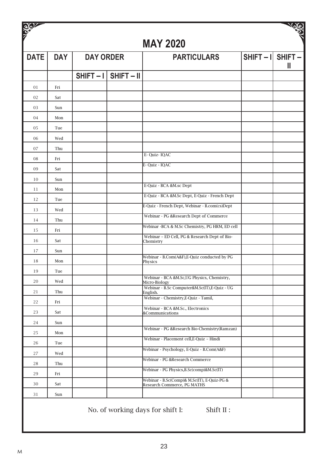| <b>BOY</b>  |            |                  |                        |                                                                            | تنابهاته                 |
|-------------|------------|------------------|------------------------|----------------------------------------------------------------------------|--------------------------|
|             |            |                  |                        | <b>MAY 2020</b>                                                            |                          |
| <b>DATE</b> | <b>DAY</b> | <b>DAY ORDER</b> |                        | <b>PARTICULARS</b>                                                         | $SHIFT - I$ SHIFT -<br>Ш |
|             |            |                  | $SHIFT - I$ SHIFT - II |                                                                            |                          |
| 01          | Fri        |                  |                        |                                                                            |                          |
| 02          | Sat        |                  |                        |                                                                            |                          |
| 03          | Sun        |                  |                        |                                                                            |                          |
| 04          | Mon        |                  |                        |                                                                            |                          |
| 05          | Tue        |                  |                        |                                                                            |                          |
| 06          | Wed        |                  |                        |                                                                            |                          |
| 07          | Thu        |                  |                        |                                                                            |                          |
| 08          | Fri        |                  |                        | E-Quiz-IQAC                                                                |                          |
| 09          | Sat        |                  |                        | E- Quiz - IQAC                                                             |                          |
| 10          | Sun        |                  |                        |                                                                            |                          |
| 11          | Mon        |                  |                        | E-Quiz - BCA &M.sc Dept                                                    |                          |
| 12          | Tue        |                  |                        | E-Quiz - BCA &M.Sc Dept, E-Quiz - French Dept                              |                          |
| 13          | Wed        |                  |                        | E-Quiz - French Dept, Webinar - B.com(cs)Dept                              |                          |
| 14          | Thu        |                  |                        | Webinar - PG &Research Dept of Commerce                                    |                          |
| 15          | Fri        |                  |                        | Webinar -BCA & M.Sc Chemistry, PG HRM, ED cell                             |                          |
| 16          | Sat        |                  |                        | Webinar - ED Cell, PG & Research Dept of Bio-<br>Chemistry                 |                          |
| 17          | Sun        |                  |                        |                                                                            |                          |
| 18          | Mon        |                  |                        | Webinar - B.Com(A&F), E-Quiz conducted by PG<br>Physics                    |                          |
| 19          | Tue        |                  |                        |                                                                            |                          |
| 20          | Wed        |                  |                        | Webinar - BCA &M.Sc,UG Physics, Chemistry,<br>Micro-Biology                |                          |
| 21          | Thu        |                  |                        | Webinar - B.Sc Computer&M.Sc(IT),E-Quiz - UG<br>English.                   |                          |
| 22          | Fri        |                  |                        | Webinar - Chemistry, E-Quiz - Tamil,                                       |                          |
| 23          | Sat        |                  |                        | Webinar - BCA &M.Sc., Electronics<br>&Communications                       |                          |
| 24          | Sun        |                  |                        |                                                                            |                          |
| 25          | Mon        |                  |                        | Webinar - PG &Research Bio-Chemistry(Ramzan)                               |                          |
| 26          | Tue        |                  |                        | Webinar - Placement cell, E-Quiz - Hindi                                   |                          |
| 27          | Wed        |                  |                        | Webinar - Psychology, E-Quiz - B.Com(A&F)                                  |                          |
| 28          | Thu        |                  |                        | Webinar - PG &Research Commerce                                            |                          |
| 29          | Fri        |                  |                        | Webinar - PG Physics, B.Sc(comp)&M.Sc(IT)                                  |                          |
| 30          | Sat        |                  |                        | Webinar - B.Sc(Comp)& M.Sc(IT), E-Quiz-PG &<br>Research Commerce, PG MATHS |                          |
| 31          | Sun        |                  |                        |                                                                            |                          |
|             |            |                  |                        |                                                                            |                          |

No. of working days for shift I: Shift II: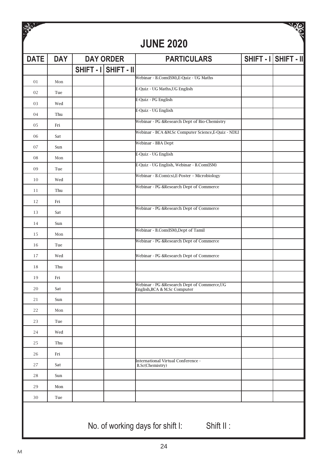| $\frac{96}{2}$ |            |                      | <b>JUNE 2020</b>                                                           |                      | <b>AGIST</b> |
|----------------|------------|----------------------|----------------------------------------------------------------------------|----------------------|--------------|
| <b>DATE</b>    | <b>DAY</b> | <b>DAY ORDER</b>     | <b>PARTICULARS</b>                                                         | SHIFT - I SHIFT - II |              |
|                |            | SHIFT - I SHIFT - II |                                                                            |                      |              |
| 01             | Mon        |                      | Webinar - B.Com(ISM), E-Quiz - UG Maths                                    |                      |              |
| 02             | Tue        |                      | E-Quiz - UG Maths, UG English                                              |                      |              |
| 03             | Wed        |                      | E-Quiz - PG English                                                        |                      |              |
| 04             | Thu        |                      | E-Quiz - UG English                                                        |                      |              |
| 05             | Fri        |                      | Webinar - PG &Research Dept of Bio-Chemistry                               |                      |              |
| 06             | Sat        |                      | Webinar - BCA &M.Sc Computer Science, E-Quiz - NDLI                        |                      |              |
| 07             | Sun        |                      | Webinar - BBA Dept                                                         |                      |              |
| 08             | Mon        |                      | E-Quiz - UG English                                                        |                      |              |
| 09             | Tue        |                      | E-Quiz - UG English, Webinar - B.Com(ISM)                                  |                      |              |
| 10             | Wed        |                      | Webinar - B.Com(cs), E-Poster - Microbiology                               |                      |              |
| 11             | Thu        |                      | Webinar - PG &Research Dept of Commerce                                    |                      |              |
| 12             | Fri        |                      |                                                                            |                      |              |
| 13             | Sat        |                      | Webinar - PG &Research Dept of Commerce                                    |                      |              |
| 14             | Sun        |                      |                                                                            |                      |              |
| 15             | Mon        |                      | Webinar - B.Com(ISM), Dept of Tamil                                        |                      |              |
| 16             | Tue        |                      | Webinar - PG &Research Dept of Commerce                                    |                      |              |
| 17             | Wed        |                      | Webinar - PG &Research Dept of Commerce                                    |                      |              |
| 18             | Thu        |                      |                                                                            |                      |              |
| 19             | Fri        |                      |                                                                            |                      |              |
| 20             | Sat        |                      | Webinar - PG &Research Dept of Commerce,UG<br>English, BCA & M.Sc Computer |                      |              |
| 21             | Sun        |                      |                                                                            |                      |              |
| 22             | Mon        |                      |                                                                            |                      |              |
| 23             | Tue        |                      |                                                                            |                      |              |
| 24             | Wed        |                      |                                                                            |                      |              |
| 25             | Thu        |                      |                                                                            |                      |              |
| 26             | Fri        |                      |                                                                            |                      |              |
| 27             | Sat        |                      | International Virtual Conference -<br>B.Sc(Chemistry)                      |                      |              |
| 28             | Sun        |                      |                                                                            |                      |              |
| 29             | Mon        |                      |                                                                            |                      |              |
| 30             | Tue        |                      |                                                                            |                      |              |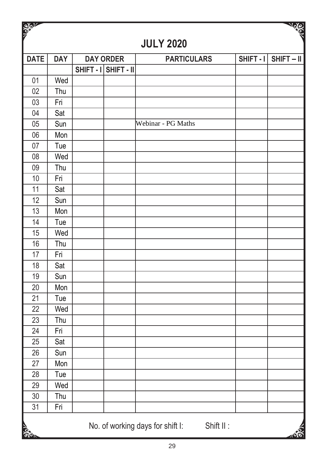| <b>READER</b>   |            |                      |                                               |             | <b>SOLUT</b> |
|-----------------|------------|----------------------|-----------------------------------------------|-------------|--------------|
|                 |            |                      | <b>JULY 2020</b>                              |             |              |
| <b>DATE</b>     | <b>DAY</b> | <b>DAY ORDER</b>     | <b>PARTICULARS</b>                            | $SHIFT - 1$ | $SHIFT - II$ |
|                 |            | SHIFT - I SHIFT - II |                                               |             |              |
| 01              | Wed        |                      |                                               |             |              |
| 02              | Thu        |                      |                                               |             |              |
| 03              | Fri        |                      |                                               |             |              |
| 04              | Sat        |                      |                                               |             |              |
| 05              | Sun        |                      | Webinar - PG Maths                            |             |              |
| 06              | Mon        |                      |                                               |             |              |
| 07              | Tue        |                      |                                               |             |              |
| 08              | Wed        |                      |                                               |             |              |
| 09              | Thu        |                      |                                               |             |              |
| 10              | Fri        |                      |                                               |             |              |
| 11              | Sat        |                      |                                               |             |              |
| 12              | Sun        |                      |                                               |             |              |
| 13              | Mon        |                      |                                               |             |              |
| 14              | Tue        |                      |                                               |             |              |
| 15              | Wed        |                      |                                               |             |              |
| 16              | Thu        |                      |                                               |             |              |
| 17              | Fri        |                      |                                               |             |              |
| 18              | Sat        |                      |                                               |             |              |
| 19              | Sun        |                      |                                               |             |              |
| 20              | Mon        |                      |                                               |             |              |
| 21              | Tue        |                      |                                               |             |              |
| 22              | Wed        |                      |                                               |             |              |
| 23              | Thu        |                      |                                               |             |              |
| 24              | Fri        |                      |                                               |             |              |
| 25              | Sat        |                      |                                               |             |              |
| 26              | Sun        |                      |                                               |             |              |
| 27              | Mon        |                      |                                               |             |              |
| $\overline{28}$ | Tue        |                      |                                               |             |              |
| 29              | Wed        |                      |                                               |             |              |
| 30              | Thu        |                      |                                               |             |              |
| 31              | Fri        |                      |                                               |             |              |
| <b>SOLUTION</b> |            |                      | No. of working days for shift I:<br>Shift II: |             |              |
|                 |            |                      |                                               |             |              |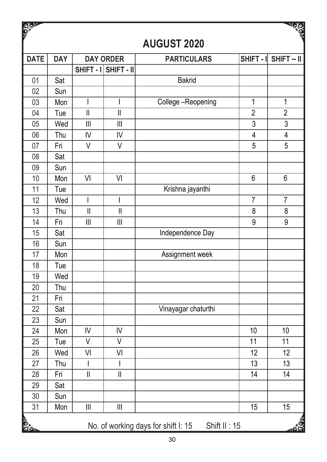| <b>SOLUT</b>    |            |                                                                           |                                           |                                                     |                 | New                     |
|-----------------|------------|---------------------------------------------------------------------------|-------------------------------------------|-----------------------------------------------------|-----------------|-------------------------|
|                 |            |                                                                           |                                           | <b>AUGUST 2020</b>                                  |                 |                         |
| <b>DATE</b>     | <b>DAY</b> |                                                                           | <b>DAY ORDER</b>                          | <b>PARTICULARS</b>                                  | SHIFT - I       | $SHIFT - II$            |
|                 |            |                                                                           | SHIFT - I SHIFT - II                      |                                                     |                 |                         |
| $\overline{01}$ | Sat        |                                                                           |                                           | <b>Bakrid</b>                                       |                 |                         |
| $\overline{02}$ | Sun        |                                                                           |                                           |                                                     |                 |                         |
| 03              | Mon        | I                                                                         | I                                         | College-Reopening                                   | 1               | $\mathbf 1$             |
| 04              | Tue        | $\label{eq:1} \prod_{i=1}^n \left\{ \prod_{i=1}^n \frac{1}{n_i} \right\}$ | $\mathbf{  }$                             |                                                     | $\overline{2}$  | $\overline{2}$          |
| 05              | Wed        | $\mathsf{III}$                                                            | $\mathbf{III}$                            |                                                     | 3               | 3                       |
| 06              | Thu        | IV                                                                        | IV                                        |                                                     | $\overline{4}$  | $\overline{\mathbf{4}}$ |
| 07              | Fri        | $\vee$                                                                    | $\vee$                                    |                                                     | 5               | 5                       |
| 08              | Sat        |                                                                           |                                           |                                                     |                 |                         |
| 09              | Sun        |                                                                           |                                           |                                                     |                 |                         |
| 10              | Mon        | VI                                                                        | VI                                        |                                                     | 6               | 6                       |
| 11              | Tue        |                                                                           |                                           | Krishna jayanthi                                    |                 |                         |
| 12              | Wed        | I                                                                         | $\overline{\phantom{a}}$                  |                                                     | $\overline{7}$  | $\overline{7}$          |
| 13              | Thu        | $\ensuremath{\mathsf{II}}$                                                | $\label{eq:1} \prod_{i=1}^n \mathbb{I}_i$ |                                                     | 8               | 8                       |
| 14              | Fri        | $\mathbf{III}$                                                            | $\parallel$                               |                                                     | 9               | 9                       |
| $\overline{15}$ | Sat        |                                                                           |                                           | Independence Day                                    |                 |                         |
| 16              | Sun        |                                                                           |                                           |                                                     |                 |                         |
| 17              | Mon        |                                                                           |                                           | Assignment week                                     |                 |                         |
| 18              | Tue        |                                                                           |                                           |                                                     |                 |                         |
| 19              | Wed        |                                                                           |                                           |                                                     |                 |                         |
| 20              | Thu        |                                                                           |                                           |                                                     |                 |                         |
| 21              | Fri        |                                                                           |                                           |                                                     |                 |                         |
| 22              | Sat        |                                                                           |                                           | Vinayagar chaturthi                                 |                 |                         |
| 23              | Sun        |                                                                           |                                           |                                                     |                 |                         |
| 24              | Mon        | IV                                                                        | IV                                        |                                                     | 10              | 10                      |
| 25              | Tue        | $\vee$                                                                    | $\vee$                                    |                                                     | $\overline{11}$ | $\overline{11}$         |
| 26              | Wed        | VI                                                                        | VI                                        |                                                     | $\overline{12}$ | 12                      |
| 27              | Thu        | I                                                                         | I                                         |                                                     | 13              | 13                      |
| $\overline{28}$ | Fri        | $\overline{\mathbf{I}}$                                                   | Ш                                         |                                                     | 14              | $\overline{14}$         |
| 29              | Sat        |                                                                           |                                           |                                                     |                 |                         |
| 30              | Sun        |                                                                           |                                           |                                                     |                 |                         |
| $\overline{31}$ | Mon        | $\mathbf{III}$                                                            | $\overline{\mathsf{III}}$                 |                                                     | 15              | 15                      |
| <b>SPA</b>      |            |                                                                           |                                           | No. of working days for shift I: 15<br>Shift II: 15 |                 |                         |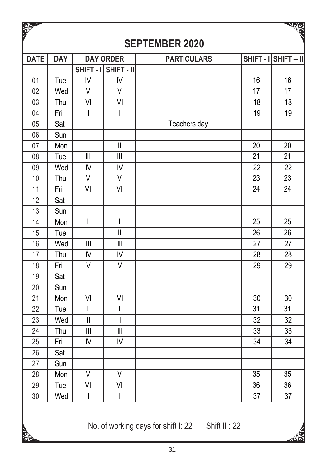| <b>REPARA</b> |            |                                       |                                       |                       |                 | <b>ARANT</b>         |
|---------------|------------|---------------------------------------|---------------------------------------|-----------------------|-----------------|----------------------|
|               |            |                                       |                                       | <b>SEPTEMBER 2020</b> |                 |                      |
| <b>DATE</b>   | <b>DAY</b> |                                       | <b>DAY ORDER</b>                      | <b>PARTICULARS</b>    |                 | SHIFT - I SHIFT - II |
|               |            |                                       | SHIFT - I SHIFT - II                  |                       |                 |                      |
| 01            | Tue        | IV                                    | IV                                    |                       | 16              | 16                   |
| 02            | Wed        | $\vee$                                | $\vee$                                |                       | 17              | 17                   |
| 03            | Thu        | VI                                    | VI                                    |                       | 18              | 18                   |
| 04            | Fri        | $\mathsf{I}$                          | $\mathsf{l}$                          |                       | 19              | 19                   |
| 05            | Sat        |                                       |                                       | Teachers day          |                 |                      |
| 06            | Sun        |                                       |                                       |                       |                 |                      |
| 07            | Mon        | $\overline{\mathbf{I}}$               | $\mathbf{I}$                          |                       | $\overline{20}$ | $\overline{20}$      |
| 08            | Tue        | $\mathbf{III}$                        | $\begin{array}{c} \hline \end{array}$ |                       | 21              | 21                   |
| 09            | Wed        | IV                                    | IV                                    |                       | 22              | 22                   |
| 10            | Thu        | V                                     | V                                     |                       | 23              | 23                   |
| 11            | Fri        | VI                                    | VI                                    |                       | 24              | 24                   |
| 12            | Sat        |                                       |                                       |                       |                 |                      |
| 13            | Sun        |                                       |                                       |                       |                 |                      |
| 14            | Mon        | I                                     | $\overline{\phantom{a}}$              |                       | 25              | 25                   |
| 15            | Tue        | $\mathbf{I}$                          | $\overline{\mathsf{I}}$               |                       | 26              | 26                   |
| 16            | Wed        | $\begin{array}{c} \hline \end{array}$ | $\mathbf{III}$                        |                       | 27              | 27                   |
| 17            | Thu        | IV                                    | IV                                    |                       | 28              | 28                   |
| 18            | Fri        | $\vee$                                | $\vee$                                |                       | 29              | 29                   |
| 19            | Sat        |                                       |                                       |                       |                 |                      |
| 20            | Sun        |                                       |                                       |                       |                 |                      |
| 21            | Mon        | VI                                    | VI                                    |                       | 30              | 30                   |
| 22            | Tue        | T                                     | $\mathsf{I}$                          |                       | 31              | 31                   |
| 23            | Wed        | $\mathbf{I}$                          | $\mathbf{I}$                          |                       | 32              | 32                   |
| 24            | Thu        | $\begin{array}{c} \hline \end{array}$ | $\begin{array}{c} \hline \end{array}$ |                       | 33              | 33                   |
| 25            | Fri        | IV                                    | IV                                    |                       | 34              | 34                   |
| 26            | Sat        |                                       |                                       |                       |                 |                      |
| 27            | Sun        |                                       |                                       |                       |                 |                      |
| 28            | Mon        | V                                     | V                                     |                       | $\overline{35}$ | $\overline{35}$      |
| 29            | Tue        | VI                                    | VI                                    |                       | 36              | 36                   |
| 30            | Wed        | $\overline{\phantom{a}}$              | $\overline{\phantom{a}}$              |                       | 37              | 37                   |
|               |            |                                       |                                       |                       |                 |                      |

 $1.32 \times 10^{-4}$ 

**SPI** 

 $\overline{\mathbf{v}}$ 

No. of working days for shift I: 22 Shift II: 22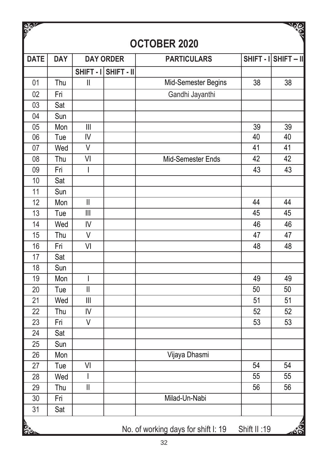| <b>SAPIC</b>    |            |                                                                           |                  |                                     |                 | <b>AUS</b>             |
|-----------------|------------|---------------------------------------------------------------------------|------------------|-------------------------------------|-----------------|------------------------|
|                 |            |                                                                           |                  | <b>OCTOBER 2020</b>                 |                 |                        |
| <b>DATE</b>     | <b>DAY</b> |                                                                           | <b>DAY ORDER</b> | <b>PARTICULARS</b>                  |                 | $SHIFT - I$ SHIFT - II |
|                 |            | SHIFT-I                                                                   | SHIFT - II       |                                     |                 |                        |
| 01              | Thu        | $\mathsf{II}$                                                             |                  | Mid-Semester Begins                 | 38              | 38                     |
| 02              | Fri        |                                                                           |                  | Gandhi Jayanthi                     |                 |                        |
| 03              | Sat        |                                                                           |                  |                                     |                 |                        |
| 04              | Sun        |                                                                           |                  |                                     |                 |                        |
| 05              | Mon        | $\begin{array}{c} \hline \end{array}$                                     |                  |                                     | 39              | 39                     |
| 06              | Tue        | $\overline{N}$                                                            |                  |                                     | 40              | 40                     |
| 07              | Wed        | $\overline{\vee}$                                                         |                  |                                     | 41              | 41                     |
| 08              | Thu        | $\overline{\mathsf{V}}$                                                   |                  | Mid-Semester Ends                   | $\overline{42}$ | $\overline{42}$        |
| 09              | Fri        | I                                                                         |                  |                                     | 43              | 43                     |
| 10              | Sat        |                                                                           |                  |                                     |                 |                        |
| 11              | Sun        |                                                                           |                  |                                     |                 |                        |
| 12              | Mon        | $\label{eq:1} \prod_{i=1}^n \left\{ \prod_{i=1}^n \frac{1}{n_i} \right\}$ |                  |                                     | 44              | 44                     |
| 13              | Tue        | $\mathbf{III}$                                                            |                  |                                     | 45              | 45                     |
| 14              | Wed        | IV                                                                        |                  |                                     | 46              | 46                     |
| 15              | Thu        | V                                                                         |                  |                                     | 47              | 47                     |
| 16              | Fri        | VI                                                                        |                  |                                     | 48              | 48                     |
| 17              | Sat        |                                                                           |                  |                                     |                 |                        |
| 18              | Sun        |                                                                           |                  |                                     |                 |                        |
| 19              | Mon        | I                                                                         |                  |                                     | 49              | 49                     |
| $\overline{20}$ | Tue        | $\overline{\mathbb{I}}$                                                   |                  |                                     | 50              | $\overline{50}$        |
| 21              | Wed        | $\mathbf{  }$                                                             |                  |                                     | 51              | 51                     |
| 22              | Thu        | IV                                                                        |                  |                                     | 52              | 52                     |
| 23              | Fri        | $\overline{\mathsf{v}}$                                                   |                  |                                     | 53              | 53                     |
| 24              | Sat        |                                                                           |                  |                                     |                 |                        |
| 25              | Sun        |                                                                           |                  |                                     |                 |                        |
| 26              | Mon        |                                                                           |                  | Vijaya Dhasmi                       |                 |                        |
| 27              | Tue        | VI                                                                        |                  |                                     | 54              | 54                     |
| 28              | Wed        | $\overline{1}$                                                            |                  |                                     | 55              | 55                     |
| 29              | Thu        | $\overline{\mathsf{I}}$                                                   |                  |                                     | 56              | $\overline{56}$        |
| 30              | Fri        |                                                                           |                  | Milad-Un-Nabi                       |                 |                        |
| 31              | Sat        |                                                                           |                  |                                     |                 |                        |
| <b>SPIN</b>     |            |                                                                           |                  | No. of working days for shift I: 19 | Shift II:19     | 463                    |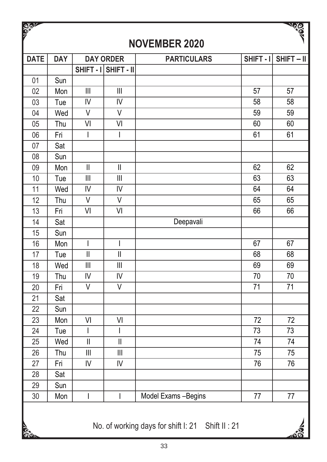| <b>SOLUT</b> |            |                                                                           |                                           |                                                  |                 | <b>Contract of Contract of Contract of Contract of Contract of Contract of Contract of Contract of Contract of C</b> |
|--------------|------------|---------------------------------------------------------------------------|-------------------------------------------|--------------------------------------------------|-----------------|----------------------------------------------------------------------------------------------------------------------|
|              |            |                                                                           |                                           | <b>NOVEMBER 2020</b>                             |                 |                                                                                                                      |
| <b>DATE</b>  | <b>DAY</b> |                                                                           | <b>DAY ORDER</b>                          | <b>PARTICULARS</b>                               | SHIFT-I         | SHIFT-II                                                                                                             |
|              |            |                                                                           | SHIFT - I SHIFT - II                      |                                                  |                 |                                                                                                                      |
| 01           | Sun        |                                                                           |                                           |                                                  |                 |                                                                                                                      |
| 02           | Mon        | $\begin{array}{c} \hline \end{array}$                                     | $\mathbf{III}$                            |                                                  | 57              | 57                                                                                                                   |
| 03           | Tue        | $\overline{\mathsf{N}}$                                                   | IV                                        |                                                  | $\overline{58}$ | $\overline{58}$                                                                                                      |
| 04           | Wed        | V                                                                         | ٧                                         |                                                  | 59              | 59                                                                                                                   |
| 05           | Thu        | VI                                                                        | VI                                        |                                                  | 60              | 60                                                                                                                   |
| 06           | Fri        | $\mathsf{I}$                                                              | $\overline{1}$                            |                                                  | 61              | 61                                                                                                                   |
| 07           | Sat        |                                                                           |                                           |                                                  |                 |                                                                                                                      |
| 08           | Sun        |                                                                           |                                           |                                                  |                 |                                                                                                                      |
| 09           | Mon        | $\overline{\mathbf{I}}$                                                   | $\mathbf{I}$                              |                                                  | 62              | 62                                                                                                                   |
| 10           | Tue        | $\begin{array}{c} \hline \end{array}$                                     | $\mathbf{III}$                            |                                                  | 63              | 63                                                                                                                   |
| 11           | Wed        | IV                                                                        | IV                                        |                                                  | 64              | 64                                                                                                                   |
| 12           | Thu        | V                                                                         | V                                         |                                                  | 65              | 65                                                                                                                   |
| 13           | Fri        | VI                                                                        | VI                                        |                                                  | 66              | 66                                                                                                                   |
| 14           | Sat        |                                                                           |                                           | Deepavali                                        |                 |                                                                                                                      |
| 15           | Sun        |                                                                           |                                           |                                                  |                 |                                                                                                                      |
| 16           | Mon        | $\mathsf{l}$                                                              | $\mathsf{l}$                              |                                                  | 67              | 67                                                                                                                   |
| 17           | Tue        | $\parallel$                                                               | $\label{eq:1} \prod_{i=1}^n \mathbb{I}^i$ |                                                  | 68              | 68                                                                                                                   |
| 18           | Wed        | $\mathbf{III}$                                                            | $\mathbf{III}$                            |                                                  | 69              | 69                                                                                                                   |
| 19           | Thu        | IV                                                                        | IV                                        |                                                  | 70              | 70                                                                                                                   |
| 20           | Fri        | V                                                                         | ٧                                         |                                                  | 71              | 71                                                                                                                   |
| 21           | Sat        |                                                                           |                                           |                                                  |                 |                                                                                                                      |
| 22           | Sun        |                                                                           |                                           |                                                  |                 |                                                                                                                      |
| 23           | Mon        | VI                                                                        | VI                                        |                                                  | 72              | 72                                                                                                                   |
| 24           | Tue        | $\mathsf{I}$                                                              | $\overline{\phantom{a}}$                  |                                                  | 73              | 73                                                                                                                   |
| 25           | Wed        | $\label{eq:1} \prod_{i=1}^n \left\{ \prod_{i=1}^n \frac{1}{n_i} \right\}$ | $\mathsf{I}$                              |                                                  | 74              | 74                                                                                                                   |
| 26           | Thu        | $\mathbf{  }$                                                             | $\begin{array}{c} \hline \end{array}$     |                                                  | 75              | 75                                                                                                                   |
| 27           | Fri        | IV                                                                        | IV                                        |                                                  | 76              | 76                                                                                                                   |
| 28           | Sat        |                                                                           |                                           |                                                  |                 |                                                                                                                      |
| 29           | Sun        |                                                                           |                                           |                                                  |                 |                                                                                                                      |
| 30           | Mon        | I                                                                         | ı                                         | Model Exams - Begins                             | 77              | 77                                                                                                                   |
| <b>Side</b>  |            |                                                                           |                                           | No. of working days for shift I: 21 Shift II: 21 |                 |                                                                                                                      |

 $\overline{\mathbf{v}}$ 

 $\overline{M}$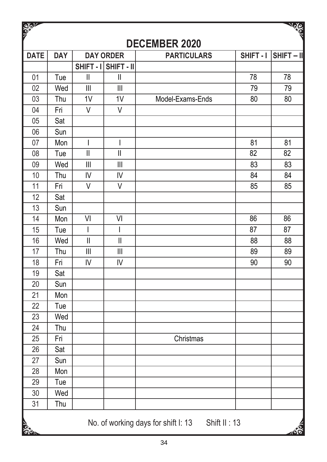| <b>SEPT</b>     |            |                                                                                                                                                                                                                                                                                                                                                                                  |                                       |                                                     |                 | <b>News</b>     |
|-----------------|------------|----------------------------------------------------------------------------------------------------------------------------------------------------------------------------------------------------------------------------------------------------------------------------------------------------------------------------------------------------------------------------------|---------------------------------------|-----------------------------------------------------|-----------------|-----------------|
|                 |            |                                                                                                                                                                                                                                                                                                                                                                                  |                                       | <b>DECEMBER 2020</b>                                |                 |                 |
| <b>DATE</b>     | <b>DAY</b> |                                                                                                                                                                                                                                                                                                                                                                                  | <b>DAY ORDER</b>                      | <b>PARTICULARS</b>                                  | SHIFT-I         | SHIFT-II        |
|                 |            |                                                                                                                                                                                                                                                                                                                                                                                  | SHIFT - I SHIFT - II                  |                                                     |                 |                 |
| 01              | Tue        | $\mathbf{I}$                                                                                                                                                                                                                                                                                                                                                                     | $\mid \mid$                           |                                                     | 78              | 78              |
| 02              | Wed        | $\begin{array}{c} \hline \end{array}$                                                                                                                                                                                                                                                                                                                                            | $\begin{array}{c} \hline \end{array}$ |                                                     | 79              | 79              |
| 03              | Thu        | $\overline{1V}$                                                                                                                                                                                                                                                                                                                                                                  | $\overline{1V}$                       | Model-Exams-Ends                                    | 80              | 80              |
| 04              | Fri        | $\vee$                                                                                                                                                                                                                                                                                                                                                                           | $\vee$                                |                                                     |                 |                 |
| 05              | Sat        |                                                                                                                                                                                                                                                                                                                                                                                  |                                       |                                                     |                 |                 |
| 06              | Sun        |                                                                                                                                                                                                                                                                                                                                                                                  |                                       |                                                     |                 |                 |
| 07              | Mon        | $\begin{array}{c} \rule{0pt}{2.5ex} \rule{0pt}{2.5ex} \rule{0pt}{2.5ex} \rule{0pt}{2.5ex} \rule{0pt}{2.5ex} \rule{0pt}{2.5ex} \rule{0pt}{2.5ex} \rule{0pt}{2.5ex} \rule{0pt}{2.5ex} \rule{0pt}{2.5ex} \rule{0pt}{2.5ex} \rule{0pt}{2.5ex} \rule{0pt}{2.5ex} \rule{0pt}{2.5ex} \rule{0pt}{2.5ex} \rule{0pt}{2.5ex} \rule{0pt}{2.5ex} \rule{0pt}{2.5ex} \rule{0pt}{2.5ex} \rule{0$ | I                                     |                                                     | 81              | 81              |
| 08              | Tue        | $\overline{\mathbb{I}}$                                                                                                                                                                                                                                                                                                                                                          | $\mathbf{I}$                          |                                                     | $\overline{82}$ | $\overline{82}$ |
| 09              | Wed        | $\begin{array}{c} \hline \end{array}$                                                                                                                                                                                                                                                                                                                                            |                                       |                                                     | 83              | 83              |
| 10              | Thu        | IV                                                                                                                                                                                                                                                                                                                                                                               | IV                                    |                                                     | 84              | 84              |
| $\overline{11}$ | Fri        | $\vee$                                                                                                                                                                                                                                                                                                                                                                           | $\overline{\mathsf{v}}$               |                                                     | 85              | 85              |
| 12              | Sat        |                                                                                                                                                                                                                                                                                                                                                                                  |                                       |                                                     |                 |                 |
| 13              | Sun        |                                                                                                                                                                                                                                                                                                                                                                                  |                                       |                                                     |                 |                 |
| 14              | Mon        | VI                                                                                                                                                                                                                                                                                                                                                                               | VI                                    |                                                     | 86              | 86              |
| 15              | Tue        | $\overline{\phantom{a}}$                                                                                                                                                                                                                                                                                                                                                         | $\overline{\phantom{a}}$              |                                                     | 87              | 87              |
| 16              | Wed        | $\overline{\mathsf{I}}$                                                                                                                                                                                                                                                                                                                                                          | $\mathbf{I}$                          |                                                     | 88              | 88              |
| 17              | Thu        | $\begin{array}{c} \hline \end{array}$                                                                                                                                                                                                                                                                                                                                            | $\begin{array}{c} \hline \end{array}$ |                                                     | 89              | 89              |
| 18              | Fri        | IV                                                                                                                                                                                                                                                                                                                                                                               | IV                                    |                                                     | 90              | 90              |
| 19              | Sat        |                                                                                                                                                                                                                                                                                                                                                                                  |                                       |                                                     |                 |                 |
| 20              | Sun        |                                                                                                                                                                                                                                                                                                                                                                                  |                                       |                                                     |                 |                 |
| $\overline{21}$ | Mon        |                                                                                                                                                                                                                                                                                                                                                                                  |                                       |                                                     |                 |                 |
| $\overline{22}$ | Tue        |                                                                                                                                                                                                                                                                                                                                                                                  |                                       |                                                     |                 |                 |
| $\overline{23}$ | Wed        |                                                                                                                                                                                                                                                                                                                                                                                  |                                       |                                                     |                 |                 |
| $\overline{24}$ | Thu        |                                                                                                                                                                                                                                                                                                                                                                                  |                                       |                                                     |                 |                 |
| 25              | Fri        |                                                                                                                                                                                                                                                                                                                                                                                  |                                       | Christmas                                           |                 |                 |
| 26              | Sat        |                                                                                                                                                                                                                                                                                                                                                                                  |                                       |                                                     |                 |                 |
| 27              | Sun        |                                                                                                                                                                                                                                                                                                                                                                                  |                                       |                                                     |                 |                 |
| 28              | Mon        |                                                                                                                                                                                                                                                                                                                                                                                  |                                       |                                                     |                 |                 |
| 29              | Tue        |                                                                                                                                                                                                                                                                                                                                                                                  |                                       |                                                     |                 |                 |
| 30              | Wed        |                                                                                                                                                                                                                                                                                                                                                                                  |                                       |                                                     |                 |                 |
| 31              | Thu        |                                                                                                                                                                                                                                                                                                                                                                                  |                                       |                                                     |                 |                 |
| <b>Sea</b>      |            |                                                                                                                                                                                                                                                                                                                                                                                  |                                       | No. of working days for shift I: 13<br>Shift II: 13 |                 | E               |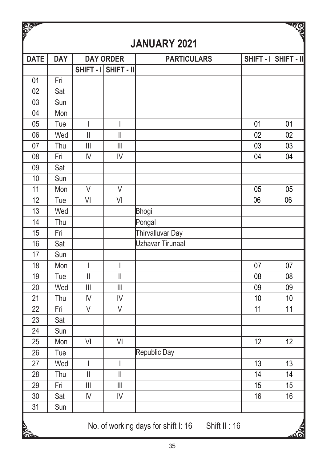| <b>SEPT</b><br><b>DAY</b><br><b>DAY ORDER</b><br><b>DATE</b><br>SHIFT - I SHIFT - II<br>01<br>Fri<br>02<br>Sat<br>03<br>Sun<br>04<br>Mon<br>05<br>Tue<br>$\overline{\phantom{a}}$<br>$\overline{\phantom{a}}$<br>06<br>Wed<br>$\vert\vert$<br>$\mathbf{I}$<br>07<br>$\begin{array}{c} \hline \end{array}$<br>$\begin{array}{c} \hline \end{array}$<br>Thu<br>08<br>Fri<br>IV<br>IV<br>09<br>Sat<br>10<br>Sun<br>11<br>V<br>$\vee$<br>Mon<br>12<br>VI<br>V <sub>l</sub><br>Tue<br>13<br>Wed<br>14<br>Thu<br>15<br>Fri<br>16<br>Sat<br>17<br>Sun<br>18<br>Mon<br>$\overline{\phantom{a}}$<br>$\overline{\phantom{a}}$<br>19<br>$\label{eq:1} \prod_{i=1}^n \left\{ \prod_{i=1}^n \frac{1}{n_i} \right\}$<br>Tue<br>$\begin{array}{c} \hline \end{array}$<br>20<br>Wed<br>$\begin{array}{c} \hline \end{array}$<br>$\begin{array}{c} \hline \end{array}$<br>21<br>$\mathsf{IV}$<br>IV<br>Thu<br>22<br>Fri<br>V<br>V<br>23<br>Sat<br>24<br>Sun<br>25<br>VI<br>Mon<br>VI | <b>JANUARY 2021</b><br><b>PARTICULARS</b><br>Bhogi<br>Pongal<br>Thirvalluvar Day<br>Uzhavar Tirunaal | 01<br>02<br>03<br>04<br>05<br>06 | NOS<br>SHIFT - I SHIFT - II<br>01<br>02<br>03<br>04<br>05<br>06 |
|---------------------------------------------------------------------------------------------------------------------------------------------------------------------------------------------------------------------------------------------------------------------------------------------------------------------------------------------------------------------------------------------------------------------------------------------------------------------------------------------------------------------------------------------------------------------------------------------------------------------------------------------------------------------------------------------------------------------------------------------------------------------------------------------------------------------------------------------------------------------------------------------------------------------------------------------------------------------|------------------------------------------------------------------------------------------------------|----------------------------------|-----------------------------------------------------------------|
|                                                                                                                                                                                                                                                                                                                                                                                                                                                                                                                                                                                                                                                                                                                                                                                                                                                                                                                                                                     |                                                                                                      |                                  |                                                                 |
|                                                                                                                                                                                                                                                                                                                                                                                                                                                                                                                                                                                                                                                                                                                                                                                                                                                                                                                                                                     |                                                                                                      |                                  |                                                                 |
|                                                                                                                                                                                                                                                                                                                                                                                                                                                                                                                                                                                                                                                                                                                                                                                                                                                                                                                                                                     |                                                                                                      |                                  |                                                                 |
|                                                                                                                                                                                                                                                                                                                                                                                                                                                                                                                                                                                                                                                                                                                                                                                                                                                                                                                                                                     |                                                                                                      |                                  |                                                                 |
|                                                                                                                                                                                                                                                                                                                                                                                                                                                                                                                                                                                                                                                                                                                                                                                                                                                                                                                                                                     |                                                                                                      |                                  |                                                                 |
|                                                                                                                                                                                                                                                                                                                                                                                                                                                                                                                                                                                                                                                                                                                                                                                                                                                                                                                                                                     |                                                                                                      |                                  |                                                                 |
|                                                                                                                                                                                                                                                                                                                                                                                                                                                                                                                                                                                                                                                                                                                                                                                                                                                                                                                                                                     |                                                                                                      |                                  |                                                                 |
|                                                                                                                                                                                                                                                                                                                                                                                                                                                                                                                                                                                                                                                                                                                                                                                                                                                                                                                                                                     |                                                                                                      |                                  |                                                                 |
|                                                                                                                                                                                                                                                                                                                                                                                                                                                                                                                                                                                                                                                                                                                                                                                                                                                                                                                                                                     |                                                                                                      |                                  |                                                                 |
|                                                                                                                                                                                                                                                                                                                                                                                                                                                                                                                                                                                                                                                                                                                                                                                                                                                                                                                                                                     |                                                                                                      |                                  |                                                                 |
|                                                                                                                                                                                                                                                                                                                                                                                                                                                                                                                                                                                                                                                                                                                                                                                                                                                                                                                                                                     |                                                                                                      |                                  |                                                                 |
|                                                                                                                                                                                                                                                                                                                                                                                                                                                                                                                                                                                                                                                                                                                                                                                                                                                                                                                                                                     |                                                                                                      |                                  |                                                                 |
|                                                                                                                                                                                                                                                                                                                                                                                                                                                                                                                                                                                                                                                                                                                                                                                                                                                                                                                                                                     |                                                                                                      |                                  |                                                                 |
|                                                                                                                                                                                                                                                                                                                                                                                                                                                                                                                                                                                                                                                                                                                                                                                                                                                                                                                                                                     |                                                                                                      |                                  |                                                                 |
|                                                                                                                                                                                                                                                                                                                                                                                                                                                                                                                                                                                                                                                                                                                                                                                                                                                                                                                                                                     |                                                                                                      |                                  |                                                                 |
|                                                                                                                                                                                                                                                                                                                                                                                                                                                                                                                                                                                                                                                                                                                                                                                                                                                                                                                                                                     |                                                                                                      |                                  |                                                                 |
|                                                                                                                                                                                                                                                                                                                                                                                                                                                                                                                                                                                                                                                                                                                                                                                                                                                                                                                                                                     |                                                                                                      |                                  |                                                                 |
|                                                                                                                                                                                                                                                                                                                                                                                                                                                                                                                                                                                                                                                                                                                                                                                                                                                                                                                                                                     |                                                                                                      |                                  |                                                                 |
|                                                                                                                                                                                                                                                                                                                                                                                                                                                                                                                                                                                                                                                                                                                                                                                                                                                                                                                                                                     |                                                                                                      |                                  |                                                                 |
|                                                                                                                                                                                                                                                                                                                                                                                                                                                                                                                                                                                                                                                                                                                                                                                                                                                                                                                                                                     |                                                                                                      |                                  |                                                                 |
|                                                                                                                                                                                                                                                                                                                                                                                                                                                                                                                                                                                                                                                                                                                                                                                                                                                                                                                                                                     |                                                                                                      | 07                               | 07                                                              |
|                                                                                                                                                                                                                                                                                                                                                                                                                                                                                                                                                                                                                                                                                                                                                                                                                                                                                                                                                                     |                                                                                                      | 08                               | 08                                                              |
|                                                                                                                                                                                                                                                                                                                                                                                                                                                                                                                                                                                                                                                                                                                                                                                                                                                                                                                                                                     |                                                                                                      | 09                               | 09                                                              |
|                                                                                                                                                                                                                                                                                                                                                                                                                                                                                                                                                                                                                                                                                                                                                                                                                                                                                                                                                                     |                                                                                                      | 10                               | 10                                                              |
|                                                                                                                                                                                                                                                                                                                                                                                                                                                                                                                                                                                                                                                                                                                                                                                                                                                                                                                                                                     |                                                                                                      | 11                               | 11                                                              |
|                                                                                                                                                                                                                                                                                                                                                                                                                                                                                                                                                                                                                                                                                                                                                                                                                                                                                                                                                                     |                                                                                                      |                                  |                                                                 |
|                                                                                                                                                                                                                                                                                                                                                                                                                                                                                                                                                                                                                                                                                                                                                                                                                                                                                                                                                                     |                                                                                                      |                                  |                                                                 |
|                                                                                                                                                                                                                                                                                                                                                                                                                                                                                                                                                                                                                                                                                                                                                                                                                                                                                                                                                                     |                                                                                                      | 12                               | 12                                                              |
| 26<br>Tue                                                                                                                                                                                                                                                                                                                                                                                                                                                                                                                                                                                                                                                                                                                                                                                                                                                                                                                                                           | Republic Day                                                                                         |                                  |                                                                 |
| 27<br>Wed<br>I<br>$\begin{array}{c} \end{array}$                                                                                                                                                                                                                                                                                                                                                                                                                                                                                                                                                                                                                                                                                                                                                                                                                                                                                                                    |                                                                                                      | 13                               | 13                                                              |
| 28<br>$\overline{\mathsf{I}}$<br>Thu<br>$\label{eq:1} \prod_{i=1}^n \left\{ \prod_{i=1}^n \frac{1}{n_i} \right\}$                                                                                                                                                                                                                                                                                                                                                                                                                                                                                                                                                                                                                                                                                                                                                                                                                                                   |                                                                                                      | $\overline{14}$                  | $\overline{14}$                                                 |
| 29<br>Fri<br>$\mid \mid \mid$<br>Ш                                                                                                                                                                                                                                                                                                                                                                                                                                                                                                                                                                                                                                                                                                                                                                                                                                                                                                                                  |                                                                                                      | 15                               | 15                                                              |
| IV<br>IV<br>30<br>Sat                                                                                                                                                                                                                                                                                                                                                                                                                                                                                                                                                                                                                                                                                                                                                                                                                                                                                                                                               |                                                                                                      | 16                               | 16                                                              |
| 31<br>Sun                                                                                                                                                                                                                                                                                                                                                                                                                                                                                                                                                                                                                                                                                                                                                                                                                                                                                                                                                           |                                                                                                      |                                  |                                                                 |
|                                                                                                                                                                                                                                                                                                                                                                                                                                                                                                                                                                                                                                                                                                                                                                                                                                                                                                                                                                     |                                                                                                      |                                  |                                                                 |
| No. of working days for shift I: 16<br><b>REPAIR</b>                                                                                                                                                                                                                                                                                                                                                                                                                                                                                                                                                                                                                                                                                                                                                                                                                                                                                                                | Shift II: 16                                                                                         |                                  |                                                                 |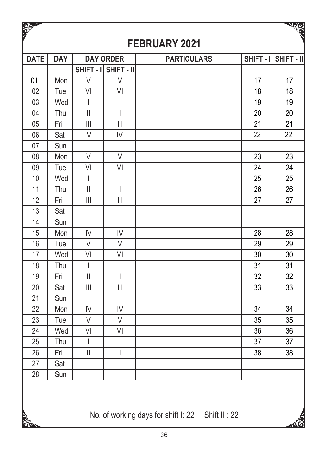| <b>CEASTER</b> |            |                                                                           |                                       |                    |    | <b>ASSA</b>          |
|----------------|------------|---------------------------------------------------------------------------|---------------------------------------|--------------------|----|----------------------|
|                |            |                                                                           |                                       | FEBRUARY 2021      |    |                      |
| <b>DATE</b>    | <b>DAY</b> |                                                                           | <b>DAY ORDER</b>                      | <b>PARTICULARS</b> |    | SHIFT - I SHIFT - II |
|                |            |                                                                           | SHIFT - I SHIFT - II                  |                    |    |                      |
| 01             | Mon        | V                                                                         | V                                     |                    | 17 | 17                   |
| 02             | Tue        | VI                                                                        | VI                                    |                    | 18 | 18                   |
| 03             | Wed        | I                                                                         | I                                     |                    | 19 | 19                   |
| 04             | Thu        | $\mathop{  }$                                                             | $\mathbf{I}$                          |                    | 20 | 20                   |
| 05             | Fri        | $\begin{array}{c} \hline \end{array}$                                     | $\begin{array}{c} \hline \end{array}$ |                    | 21 | 21                   |
| 06             | Sat        | IV                                                                        | IV                                    |                    | 22 | 22                   |
| 07             | Sun        |                                                                           |                                       |                    |    |                      |
| 08             | Mon        | V                                                                         | V                                     |                    | 23 | 23                   |
| 09             | Tue        | VI                                                                        | VI                                    |                    | 24 | 24                   |
| 10             | Wed        | T                                                                         | I                                     |                    | 25 | 25                   |
| 11             | Thu        | $\begin{array}{c} \hline \end{array}$                                     | $\begin{array}{c} \hline \end{array}$ |                    | 26 | 26                   |
| 12             | Fri        | $\begin{array}{c} \hline \end{array}$                                     | $\begin{array}{c} \hline \end{array}$ |                    | 27 | 27                   |
| 13             | Sat        |                                                                           |                                       |                    |    |                      |
| 14             | Sun        |                                                                           |                                       |                    |    |                      |
| 15             | Mon        | IV                                                                        | IV                                    |                    | 28 | 28                   |
| 16             | Tue        | $\vee$                                                                    | $\vee$                                |                    | 29 | 29                   |
| 17             | Wed        | VI                                                                        | VI                                    |                    | 30 | 30                   |
| 18             | Thu        | T                                                                         | I                                     |                    | 31 | 31                   |
| 19             | Fri        | $\begin{array}{c} \hline \end{array}$                                     | $\vert\vert$                          |                    | 32 | 32                   |
| 20             | Sat        | $\begin{array}{c} \hline \end{array}$                                     | $\begin{array}{c} \hline \end{array}$ |                    | 33 | 33                   |
| 21             | Sun        |                                                                           |                                       |                    |    |                      |
| 22             | Mon        | IV                                                                        | IV                                    |                    | 34 | 34                   |
| 23             | Tue        | $\vee$                                                                    | V                                     |                    | 35 | 35                   |
| 24             | Wed        | VI                                                                        | VI                                    |                    | 36 | 36                   |
| 25             | Thu        | $\overline{1}$                                                            | I                                     |                    | 37 | 37                   |
| 26             | Fri        | $\label{eq:1} \prod_{i=1}^n \left\{ \prod_{i=1}^n \frac{1}{n_i} \right\}$ | $\vert\vert$                          |                    | 38 | 38                   |
| 27             | Sat        |                                                                           |                                       |                    |    |                      |
| 28             | Sun        |                                                                           |                                       |                    |    |                      |
|                |            |                                                                           |                                       |                    |    |                      |

No. of working days for shift I: 22 Shift II : 22

 $\frac{1}{2}$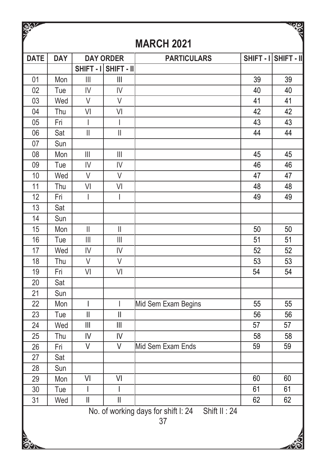| <b>SOLUT</b> |            |                                                                           |                                       |                                                                          |    | $\frac{1}{2}$        |
|--------------|------------|---------------------------------------------------------------------------|---------------------------------------|--------------------------------------------------------------------------|----|----------------------|
|              |            |                                                                           |                                       | <b>MARCH 2021</b>                                                        |    |                      |
| <b>DATE</b>  | <b>DAY</b> |                                                                           | <b>DAY ORDER</b>                      | <b>PARTICULARS</b>                                                       |    | SHIFT - I SHIFT - II |
|              |            |                                                                           | SHIFT - I SHIFT - II                  |                                                                          |    |                      |
| 01           | Mon        | $\begin{array}{c} \hline \end{array}$                                     | $\mathbf{III}$                        |                                                                          | 39 | 39                   |
| 02           | Tue        | IV                                                                        | IV                                    |                                                                          | 40 | 40                   |
| 03           | Wed        | V                                                                         | V                                     |                                                                          | 41 | 41                   |
| 04           | Thu        | VI                                                                        | VI                                    |                                                                          | 42 | 42                   |
| 05           | Fri        | I                                                                         | $\overline{\phantom{a}}$              |                                                                          | 43 | 43                   |
| 06           | Sat        | $\label{eq:1} \prod_{i=1}^n \left\{ \prod_{i=1}^n \frac{1}{n_i} \right\}$ | $\vert\vert$                          |                                                                          | 44 | 44                   |
| 07           | Sun        |                                                                           |                                       |                                                                          |    |                      |
| 08           | Mon        | $\begin{array}{c} \hline \end{array}$                                     | $\begin{array}{c} \hline \end{array}$ |                                                                          | 45 | 45                   |
| 09           | Tue        | IV                                                                        | IV                                    |                                                                          | 46 | 46                   |
| 10           | Wed        | $\vee$                                                                    | $\vee$                                |                                                                          | 47 | 47                   |
| 11           | Thu        | V <sub>l</sub>                                                            | VI                                    |                                                                          | 48 | 48                   |
| 12           | Fri        | I                                                                         | I                                     |                                                                          | 49 | 49                   |
| 13           | Sat        |                                                                           |                                       |                                                                          |    |                      |
| 14           | Sun        |                                                                           |                                       |                                                                          |    |                      |
| 15           | Mon        | $\label{eq:1} \prod_{i=1}^n \mathbb{I}_i$                                 | $\begin{array}{c} \hline \end{array}$ |                                                                          | 50 | 50                   |
| 16           | Tue        | $\begin{array}{c} \hline \end{array}$                                     | $\begin{array}{c} \hline \end{array}$ |                                                                          | 51 | 51                   |
| 17           | Wed        | IV                                                                        | IV                                    |                                                                          | 52 | 52                   |
| 18           | Thu        | $\vee$                                                                    | $\vee$                                |                                                                          | 53 | 53                   |
| 19           | Fri        | VI                                                                        | V <sub>l</sub>                        |                                                                          | 54 | 54                   |
| 20           | Sat        |                                                                           |                                       |                                                                          |    |                      |
| 21           | Sun        |                                                                           |                                       |                                                                          |    |                      |
| 22           | Mon        | I                                                                         | $\overline{\phantom{a}}$              | Mid Sem Exam Begins                                                      | 55 | 55                   |
| 23           | Tue        | $\vert\vert$                                                              | $\parallel$                           |                                                                          | 56 | 56                   |
| 24           | Wed        | $\begin{array}{c} \hline \end{array}$                                     | $\begin{array}{c} \hline \end{array}$ |                                                                          | 57 | 57                   |
| 25           | Thu        | IV                                                                        | IV                                    |                                                                          | 58 | 58                   |
| 26           | Fri        | $\vee$                                                                    | V                                     | Mid Sem Exam Ends                                                        | 59 | 59                   |
| 27           | Sat        |                                                                           |                                       |                                                                          |    |                      |
| 28           | Sun        |                                                                           |                                       |                                                                          |    |                      |
| 29           | Mon        | VI                                                                        | VI                                    |                                                                          | 60 | 60                   |
| 30           | Tue        |                                                                           |                                       |                                                                          | 61 | 61                   |
| 31           | Wed        | $\label{eq:1} \prod_{i=1}^n \left\{ \prod_{i=1}^n \frac{1}{n_i} \right\}$ | $\overline{\mathsf{I}}$               |                                                                          | 62 | 62                   |
|              |            |                                                                           |                                       | No. of working days for shift I: 24<br>Shift $\overline{\mathsf{II}:24}$ |    |                      |
|              |            |                                                                           |                                       | 37                                                                       |    |                      |
|              |            |                                                                           |                                       |                                                                          |    |                      |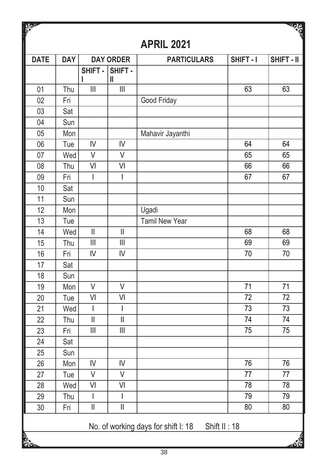| $\frac{1}{2}$   |            |                                           |                                       |                                     |              | <b>NOWS</b>     |
|-----------------|------------|-------------------------------------------|---------------------------------------|-------------------------------------|--------------|-----------------|
|                 |            |                                           |                                       | <b>APRIL 2021</b>                   |              |                 |
| <b>DATE</b>     | <b>DAY</b> |                                           | <b>DAY ORDER</b>                      | <b>PARTICULARS</b>                  | SHIFT-I      | SHIFT - II      |
|                 |            | SHIFT-<br>L                               | SHIFT-<br>Ш                           |                                     |              |                 |
| 01              | Thu        | $\begin{array}{c} \hline \end{array}$     | $\mathbf{III}$                        |                                     | 63           | 63              |
| 02              | Fri        |                                           |                                       | Good Friday                         |              |                 |
| 03              | Sat        |                                           |                                       |                                     |              |                 |
| 04              | Sun        |                                           |                                       |                                     |              |                 |
| 05              | Mon        |                                           |                                       | Mahavir Jayanthi                    |              |                 |
| 06              | Tue        | IV                                        | IV                                    |                                     | 64           | 64              |
| 07              | Wed        | $\vee$                                    | $\vee$                                |                                     | 65           | 65              |
| 08              | Thu        | VI                                        | VI                                    |                                     | 66           | 66              |
| 09              | Fri        | $\mathsf{l}$                              | $\overline{\phantom{a}}$              |                                     | 67           | 67              |
| 10              | Sat        |                                           |                                       |                                     |              |                 |
| 11              | Sun        |                                           |                                       |                                     |              |                 |
| 12              | Mon        |                                           |                                       | Ugadi                               |              |                 |
| 13              | Tue        |                                           |                                       | Tamil New Year                      |              |                 |
| 14              | Wed        | $\label{eq:1} \prod_{i=1}^n \mathbb{I}_i$ | $\mathbf{  }$                         |                                     | 68           | 68              |
| 15              | Thu        | $\begin{array}{c} \hline \end{array}$     | $\begin{array}{c} \hline \end{array}$ |                                     | 69           | 69              |
| 16              | Fri        | IV                                        | $\mathsf{I}\mathsf{V}$                |                                     | 70           | 70              |
| 17              | Sat        |                                           |                                       |                                     |              |                 |
| 18              | Sun        |                                           |                                       |                                     |              |                 |
| 19              | Mon        | V                                         | V                                     |                                     | 71           | 71              |
| 20              | Tue        | VI                                        | VI                                    |                                     | 72           | 72              |
| 21              | Wed        | $\overline{\phantom{a}}$                  | $\overline{\phantom{a}}$              |                                     | 73           | $\overline{73}$ |
| 22              | Thu        | $\ensuremath{\mathsf{II}}$                | $\vert\vert$                          |                                     | 74           | 74              |
| 23              | Fri        | $\begin{array}{c} \hline \end{array}$     | $\mathbf{III}$                        |                                     | 75           | $\overline{75}$ |
| 24              | Sat        |                                           |                                       |                                     |              |                 |
| 25              | Sun        |                                           |                                       |                                     |              |                 |
| 26              | Mon        | IV                                        | IV                                    |                                     | 76           | 76              |
| 27              | Tue        | V                                         | $\vee$                                |                                     | 77           | 77              |
| 28              | Wed        | V <sub>l</sub>                            | VI                                    |                                     | 78           | 78              |
| 29              | Thu        | $\mathbf{I}$                              | $\overline{\phantom{a}}$              |                                     | 79           | 79              |
| 30              | Fri        | $\ensuremath{\mathsf{II}}$                | $\ensuremath{\mathsf{II}}$            |                                     | 80           | 80              |
|                 |            |                                           |                                       | No. of working days for shift I: 18 | Shift II: 18 |                 |
| <b>SOLUTION</b> |            |                                           |                                       |                                     |              |                 |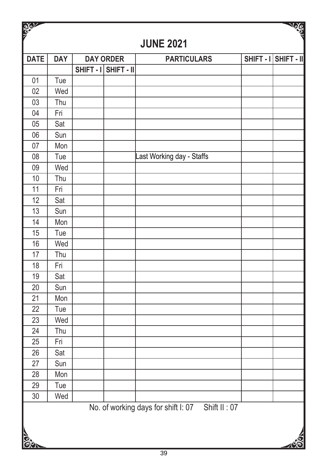| <b>READER</b>   |            |                      |                                                  | <b>SEP</b>           |
|-----------------|------------|----------------------|--------------------------------------------------|----------------------|
|                 |            |                      | <b>JUNE 2021</b>                                 |                      |
| <b>DATE</b>     | <b>DAY</b> | <b>DAY ORDER</b>     | <b>PARTICULARS</b>                               | SHIFT - I SHIFT - II |
|                 |            | SHIFT - I SHIFT - II |                                                  |                      |
| 01              | Tue        |                      |                                                  |                      |
| 02              | Wed        |                      |                                                  |                      |
| 03              | Thu        |                      |                                                  |                      |
| 04              | Fri        |                      |                                                  |                      |
| 05              | Sat        |                      |                                                  |                      |
| 06              | Sun        |                      |                                                  |                      |
| 07              | Mon        |                      |                                                  |                      |
| 08              | Tue        |                      | Last Working day - Staffs                        |                      |
| 09              | Wed        |                      |                                                  |                      |
| 10              | Thu        |                      |                                                  |                      |
| 11              | Fri        |                      |                                                  |                      |
| 12              | Sat        |                      |                                                  |                      |
| 13              | Sun        |                      |                                                  |                      |
| 14              | Mon        |                      |                                                  |                      |
| 15              | Tue        |                      |                                                  |                      |
| 16              | Wed        |                      |                                                  |                      |
| 17              | Thu        |                      |                                                  |                      |
| 18              | Fri        |                      |                                                  |                      |
| 19              | Sat        |                      |                                                  |                      |
| 20              | Sun        |                      |                                                  |                      |
| 21              | Mon        |                      |                                                  |                      |
| 22              | Tue        |                      |                                                  |                      |
| 23              | Wed        |                      |                                                  |                      |
| 24              | Thu        |                      |                                                  |                      |
| 25              | Fri        |                      |                                                  |                      |
| 26              | Sat        |                      |                                                  |                      |
| 27              | Sun        |                      |                                                  |                      |
| $\overline{28}$ | Mon        |                      |                                                  |                      |
| 29              | Tue        |                      |                                                  |                      |
| $\overline{30}$ | Wed        |                      |                                                  |                      |
| <b>Cion</b>     |            |                      | No. of working days for shift I: 07 Shift II: 07 |                      |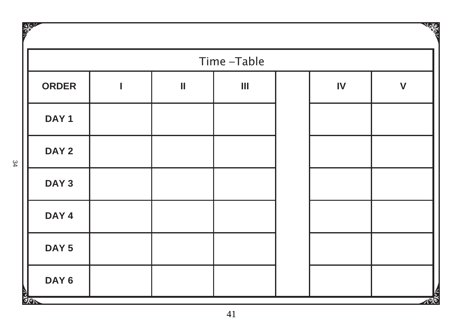| <b>SOLUT</b>     |   |              |            |               | Note         |
|------------------|---|--------------|------------|---------------|--------------|
|                  |   |              | Time-Table |               |              |
| <b>ORDER</b>     | ı | $\mathbf{I}$ | Ш          | $\mathsf{IV}$ | $\mathsf{V}$ |
| DAY <sub>1</sub> |   |              |            |               |              |
| DAY <sub>2</sub> |   |              |            |               |              |
| DAY <sub>3</sub> |   |              |            |               |              |
| DAY <sub>4</sub> |   |              |            |               |              |
| DAY <sub>5</sub> |   |              |            |               |              |
| DAY <sub>6</sub> |   |              |            |               |              |
| <b>SOR</b>       |   |              |            |               | ৴ত           |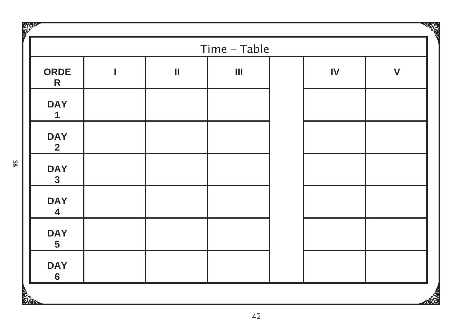|                                       |   |               | Time - Table                   |               |              |
|---------------------------------------|---|---------------|--------------------------------|---------------|--------------|
| <b>ORDE</b><br>R                      | I | $\mathbf{  }$ | $\mathop{\text{III}}\nolimits$ | $\mathsf{IV}$ | $\mathsf{V}$ |
| <b>DAY</b><br>1                       |   |               |                                |               |              |
| <b>DAY</b><br>$\mathbf{2}$            |   |               |                                |               |              |
| <b>DAY</b><br>$\mathbf{3}$            |   |               |                                |               |              |
| <b>DAY</b><br>$\overline{\mathbf{4}}$ |   |               |                                |               |              |
| <b>DAY</b><br>$5\phantom{.0}$         |   |               |                                |               |              |
| <b>DAY</b><br>$\bf 6$                 |   |               |                                |               |              |